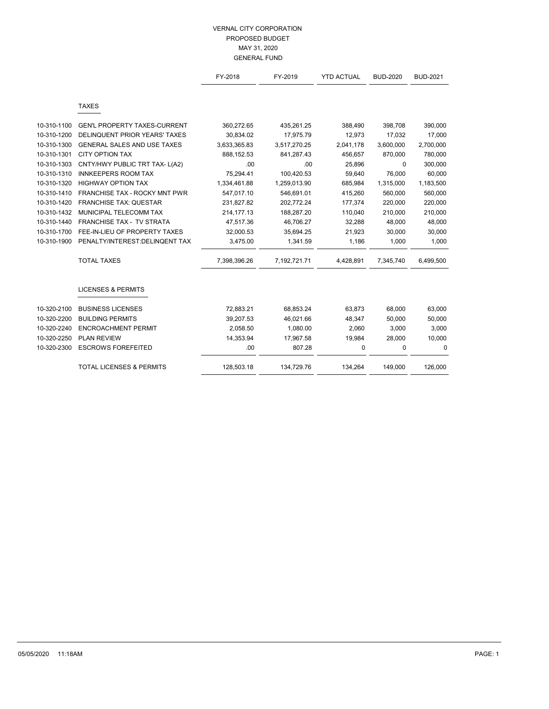|             |                                     | FY-2018      | FY-2019      | <b>YTD ACTUAL</b> | <b>BUD-2020</b> | <b>BUD-2021</b> |
|-------------|-------------------------------------|--------------|--------------|-------------------|-----------------|-----------------|
|             |                                     |              |              |                   |                 |                 |
|             | <b>TAXES</b>                        |              |              |                   |                 |                 |
| 10-310-1100 | <b>GEN'L PROPERTY TAXES-CURRENT</b> | 360,272.65   | 435,261.25   | 388,490           | 398,708         | 390,000         |
| 10-310-1200 | DELINQUENT PRIOR YEARS' TAXES       | 30,834.02    | 17,975.79    | 12,973            | 17,032          | 17,000          |
| 10-310-1300 | GENERAL SALES AND USE TAXES         | 3,633,365.83 | 3,517,270.25 | 2,041,178         | 3,600,000       | 2,700,000       |
| 10-310-1301 | <b>CITY OPTION TAX</b>              | 888,152.53   | 841,287.43   | 456,657           | 870,000         | 780,000         |
| 10-310-1303 | CNTY/HWY PUBLIC TRT TAX- L(A2)      | .00          | .00          | 25,896            | $\Omega$        | 300,000         |
| 10-310-1310 | <b>INNKEEPERS ROOM TAX</b>          | 75,294.41    | 100,420.53   | 59,640            | 76,000          | 60,000          |
| 10-310-1320 | <b>HIGHWAY OPTION TAX</b>           | 1,334,461.88 | 1,259,013.90 | 685,984           | 1,315,000       | 1,183,500       |
| 10-310-1410 | FRANCHISE TAX - ROCKY MNT PWR       | 547,017.10   | 546,691.01   | 415,260           | 560,000         | 560,000         |
| 10-310-1420 | <b>FRANCHISE TAX: QUESTAR</b>       | 231,827.82   | 202,772.24   | 177,374           | 220,000         | 220,000         |
| 10-310-1432 | MUNICIPAL TELECOMM TAX              | 214,177.13   | 188,287.20   | 110,040           | 210,000         | 210,000         |
| 10-310-1440 | FRANCHISE TAX - TV STRATA           | 47,517.36    | 46,706.27    | 32,288            | 48,000          | 48,000          |
| 10-310-1700 | FEE-IN-LIEU OF PROPERTY TAXES       | 32,000.53    | 35,694.25    | 21,923            | 30,000          | 30,000          |
| 10-310-1900 | PENALTY/INTEREST:DELINQENT TAX      | 3,475.00     | 1,341.59     | 1,186             | 1,000           | 1,000           |
|             | <b>TOTAL TAXES</b>                  | 7,398,396.26 | 7,192,721.71 | 4,428,891         | 7,345,740       | 6,499,500       |
|             |                                     |              |              |                   |                 |                 |
|             | <b>LICENSES &amp; PERMITS</b>       |              |              |                   |                 |                 |
| 10-320-2100 | <b>BUSINESS LICENSES</b>            | 72,883.21    | 68,853.24    | 63,873            | 68,000          | 63,000          |
| 10-320-2200 | <b>BUILDING PERMITS</b>             | 39,207.53    | 46,021.66    | 48,347            | 50,000          | 50,000          |
| 10-320-2240 | <b>ENCROACHMENT PERMIT</b>          | 2,058.50     | 1,080.00     | 2,060             | 3,000           | 3,000           |
| 10-320-2250 | <b>PLAN REVIEW</b>                  | 14,353.94    | 17,967.58    | 19,984            | 28,000          | 10,000          |
| 10-320-2300 | <b>ESCROWS FOREFEITED</b>           | .00          | 807.28       | $\mathbf 0$       | 0               | 0               |
|             | <b>TOTAL LICENSES &amp; PERMITS</b> | 128,503.18   | 134,729.76   | 134,264           | 149,000         | 126,000         |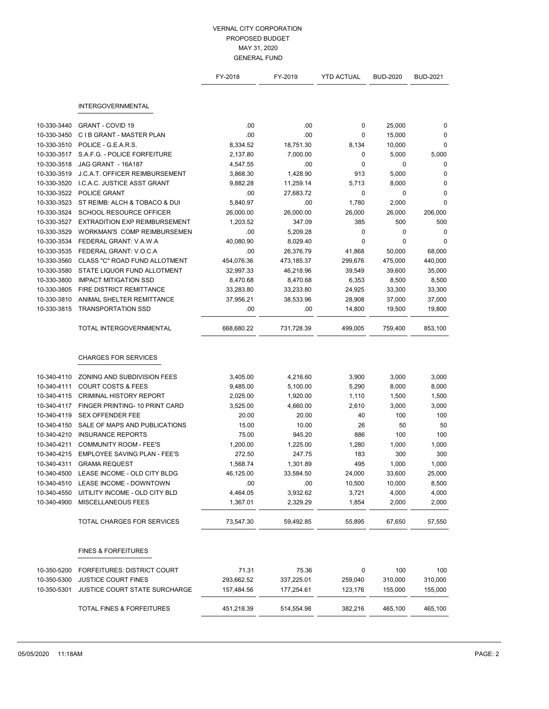|             |                                      | FY-2018    | FY-2019    | <b>YTD ACTUAL</b> | <b>BUD-2020</b> | <b>BUD-2021</b> |
|-------------|--------------------------------------|------------|------------|-------------------|-----------------|-----------------|
|             | <b>INTERGOVERNMENTAL</b>             |            |            |                   |                 |                 |
| 10-330-3440 | <b>GRANT - COVID 19</b>              | .00        | .00        | 0                 | 25,000          | 0               |
| 10-330-3450 | C I B GRANT - MASTER PLAN            | .00        | .00        | 0                 | 15,000          | 0               |
| 10-330-3510 | POLICE - G.E.A.R.S.                  | 8,334.52   | 18,751.30  | 8,134             | 10,000          | 0               |
| 10-330-3517 | S.A.F.G. - POLICE FORFEITURE         | 2,137.80   | 7,000.00   | 0                 | 5,000           | 5,000           |
| 10-330-3518 | JAG GRANT - 16A187                   | 4,547.55   | .00        | 0                 | 0               | 0               |
| 10-330-3519 | J.C.A.T. OFFICER REIMBURSEMENT       | 3,868.30   | 1,428.90   | 913               | 5,000           | 0               |
| 10-330-3520 | I.C.A.C. JUSTICE ASST GRANT          | 9,882.28   | 11,259.14  | 5,713             | 8,000           | 0               |
| 10-330-3522 | POLICE GRANT                         | .00        | 27,683.72  | $\mathbf 0$       | 0               | 0               |
| 10-330-3523 | ST REIMB: ALCH & TOBACO & DUI        | 5,840.97   | .00        | 1,780             | 2,000           | $\mathbf 0$     |
| 10-330-3524 | SCHOOL RESOURCE OFFICER              | 26,000.00  | 26,000.00  | 26,000            | 26,000          | 206,000         |
| 10-330-3527 | <b>EXTRADITION EXP REIMBURSEMENT</b> | 1,203.52   | 347.09     | 385               | 500             | 500             |
| 10-330-3529 | <b>WORKMAN'S COMP REIMBURSEMEN</b>   | .00        | 5,209.28   | $\mathbf 0$       | $\mathbf 0$     | 0               |
| 10-330-3534 | FEDERAL GRANT: V.A.W.A               | 40,080.90  | 8,029.40   | 0                 | 0               | 0               |
| 10-330-3535 | FEDERAL GRANT: V.O.C.A               | .00        | 26,376.79  | 41,868            | 50,000          | 68,000          |
| 10-330-3560 | CLASS "C" ROAD FUND ALLOTMENT        | 454,076.36 | 473,185.37 | 299,676           | 475,000         | 440,000         |
| 10-330-3580 | STATE LIQUOR FUND ALLOTMENT          | 32,997.33  | 46,218.96  | 39,549            | 39,600          | 35,000          |
| 10-330-3800 | <b>IMPACT MITIGATION SSD</b>         | 8,470.68   | 8,470.68   | 6,353             | 8,500           | 8,500           |
| 10-330-3805 | FIRE DISTRICT REMITTANCE             | 33,283.80  | 33,233.80  | 24,925            | 33,300          | 33,300          |
| 10-330-3810 | ANIMAL SHELTER REMITTANCE            | 37,956.21  | 38,533.96  | 28,908            | 37,000          | 37,000          |
| 10-330-3815 | <b>TRANSPORTATION SSD</b>            | .00        | .00        | 14,800            | 19,500          | 19,800          |
|             | TOTAL INTERGOVERNMENTAL              | 668,680.22 | 731,728.39 | 499,005           | 759,400         | 853,100         |
|             | <b>CHARGES FOR SERVICES</b>          |            |            |                   |                 |                 |
| 10-340-4110 | ZONING AND SUBDIVISION FEES          | 3,405.00   | 4,216.60   | 3,900             | 3,000           | 3,000           |
| 10-340-4111 | <b>COURT COSTS &amp; FEES</b>        | 9,485.00   | 5,100.00   | 5,290             | 8,000           | 8,000           |
| 10-340-4115 | CRIMINAL HISTORY REPORT              | 2,025.00   | 1,920.00   | 1,110             | 1,500           | 1,500           |
| 10-340-4117 | FINGER PRINTING- 10 PRINT CARD       | 3,525.00   | 4,660.00   | 2,610             | 3,000           | 3,000           |
| 10-340-4119 | <b>SEX OFFENDER FEE</b>              | 20.00      | 20.00      | 40                | 100             | 100             |
| 10-340-4150 | SALE OF MAPS AND PUBLICATIONS        | 15.00      | 10.00      | 26                | 50              | 50              |
| 10-340-4210 | <b>INSURANCE REPORTS</b>             | 75.00      | 945.20     | 886               | 100             | 100             |
| 10-340-4211 | <b>COMMUNITY ROOM - FEE'S</b>        | 1,200.00   | 1,225.00   | 1,280             | 1,000           | 1,000           |
| 10-340-4215 | EMPLOYEE SAVING PLAN - FEE'S         | 272.50     | 247.75     | 183               | 300             | 300             |
| 10-340-4311 | <b>GRAMA REQUEST</b>                 | 1,568.74   | 1,301.89   | 495               | 1,000           | 1,000           |
| 10-340-4500 | LEASE INCOME - OLD CITY BLDG         | 46,125.00  | 33,584.50  | 24,000            | 33,600          | 25,000          |
| 10-340-4510 | LEASE INCOME - DOWNTOWN              | .00        | .00        | 10,500            | 10,000          | 8,500           |
| 10-340-4550 | UITILITY INCOME - OLD CITY BLD       | 4,464.05   | 3,932.62   | 3,721             | 4,000           | 4,000           |
| 10-340-4900 | MISCELLANEOUS FEES                   | 1,367.01   | 2,329.29   | 1,854             | 2,000           | 2,000           |
|             | TOTAL CHARGES FOR SERVICES           | 73,547.30  | 59,492.85  | 55,895            | 67,650          | 57,550          |
|             |                                      |            |            |                   |                 |                 |
|             | <b>FINES &amp; FORFEITURES</b>       |            |            |                   |                 |                 |
| 10-350-5200 | FORFEITURES: DISTRICT COURT          | 71.31      | 75.36      | 0                 | 100             | 100             |
| 10-350-5300 | <b>JUSTICE COURT FINES</b>           | 293,662.52 | 337,225.01 | 259,040           | 310,000         | 310,000         |
| 10-350-5301 | JUSTICE COURT STATE SURCHARGE        | 157,484.56 | 177,254.61 | 123,176           | 155,000         | 155,000         |
|             | TOTAL FINES & FORFEITURES            | 451,218.39 | 514,554.98 | 382,216           | 465,100         | 465,100         |
|             |                                      |            |            |                   |                 |                 |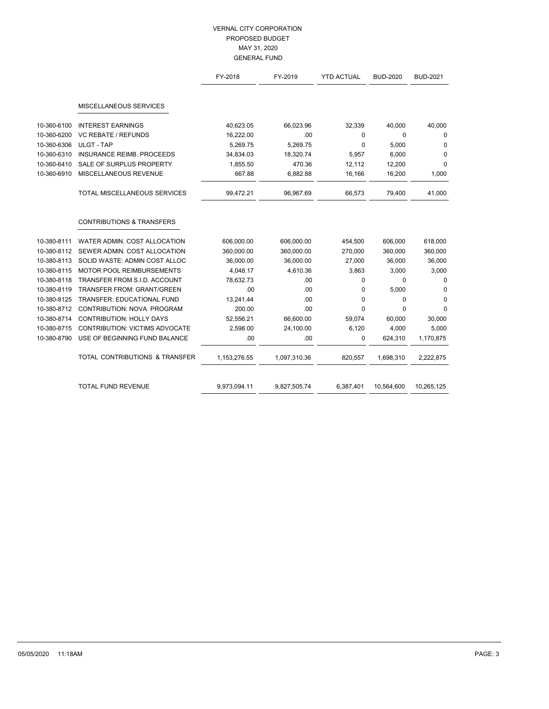|             |                                       | FY-2018      | FY-2019      | <b>YTD ACTUAL</b> | <b>BUD-2020</b> | <b>BUD-2021</b> |
|-------------|---------------------------------------|--------------|--------------|-------------------|-----------------|-----------------|
|             | MISCELLANEOUS SERVICES                |              |              |                   |                 |                 |
| 10-360-6100 | <b>INTEREST EARNINGS</b>              | 40,623.05    | 66,023.96    | 32,339            | 40,000          | 40,000          |
| 10-360-6200 | <b>VC REBATE / REFUNDS</b>            | 16,222.00    | .00          | 0                 | $\Omega$        | 0               |
| 10-360-6306 | <b>ULGT - TAP</b>                     | 5,269.75     | 5,269.75     | $\mathbf{0}$      | 5,000           | 0               |
| 10-360-6310 | <b>INSURANCE REIMB, PROCEEDS</b>      | 34,834.03    | 18,320.74    | 5,957             | 6,000           | 0               |
| 10-360-6410 | SALE OF SURPLUS PROPERTY              | 1,855.50     | 470.36       | 12,112            | 12,200          | 0               |
| 10-360-6910 | MISCELLANEOUS REVENUE                 | 667.88       | 6,882.88     | 16,166            | 16,200          | 1,000           |
|             | TOTAL MISCELLANEOUS SERVICES          | 99,472.21    | 96,967.69    | 66,573            | 79,400          | 41,000          |
|             | <b>CONTRIBUTIONS &amp; TRANSFERS</b>  |              |              |                   |                 |                 |
| 10-380-8111 | WATER ADMIN, COST ALLOCATION          | 606,000.00   | 606,000.00   | 454,500           | 606,000         | 618,000         |
| 10-380-8112 | SEWER ADMIN. COST ALLOCATION          | 360,000.00   | 360,000.00   | 270,000           | 360,000         | 360,000         |
| 10-380-8113 | SOLID WASTE: ADMIN COST ALLOC         | 36,000.00    | 36,000.00    | 27,000            | 36,000          | 36,000          |
| 10-380-8115 | <b>MOTOR POOL REIMBURSEMENTS</b>      | 4,048.17     | 4,610.36     | 3,863             | 3,000           | 3,000           |
| 10-380-8118 | TRANSFER FROM S.I.D. ACCOUNT          | 78,632.73    | .00          | $\mathbf 0$       | $\Omega$        | 0               |
| 10-380-8119 | <b>TRANSFER FROM: GRANT/GREEN</b>     | .00          | .00          | 0                 | 5,000           | 0               |
| 10-380-8125 | <b>TRANSFER: EDUCATIONAL FUND</b>     | 13,241.44    | .00          | 0                 | $\mathbf 0$     | 0               |
| 10-380-8712 | CONTRIBUTION: NOVA PROGRAM            | 200.00       | .00          | 0                 | $\Omega$        | $\Omega$        |
| 10-380-8714 | <b>CONTRIBUTION: HOLLY DAYS</b>       | 52,556.21    | 66,600.00    | 59,074            | 60,000          | 30,000          |
| 10-380-8715 | <b>CONTRIBUTION: VICTIMS ADVOCATE</b> | 2,598.00     | 24,100.00    | 6,120             | 4,000           | 5,000           |
| 10-380-8790 | USE OF BEGINNING FUND BALANCE         | .00          | .00          | 0                 | 624,310         | 1,170,875       |
|             | TOTAL CONTRIBUTIONS & TRANSFER        | 1,153,276.55 | 1,097,310.36 | 820,557           | 1,698,310       | 2,222,875       |
|             | <b>TOTAL FUND REVENUE</b>             | 9,973,094.11 | 9,827,505.74 | 6,387,401         | 10,564,600      | 10,265,125      |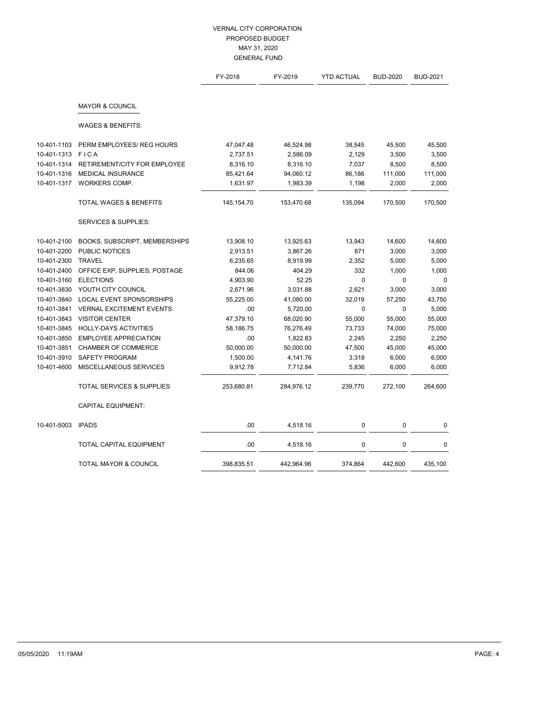|             |                                      | FY-2018    | FY-2019    | <b>YTD ACTUAL</b> | <b>BUD-2020</b> | <b>BUD-2021</b> |
|-------------|--------------------------------------|------------|------------|-------------------|-----------------|-----------------|
|             | <b>MAYOR &amp; COUNCIL</b>           |            |            |                   |                 |                 |
|             | <b>WAGES &amp; BENEFITS:</b>         |            |            |                   |                 |                 |
| 10-401-1103 | PERM EMPLOYEES/ REG HOURS            | 47,047.48  | 46,524.98  | 38,545            | 45,500          | 45,500          |
| 10-401-1313 | <b>FICA</b>                          | 2,737.51   | 2,586.09   | 2,129             | 3,500           | 3,500           |
| 10-401-1314 | RETIREMENT/CITY FOR EMPLOYEE         | 8,316.10   | 8,316.10   | 7,037             | 8,500           | 8,500           |
| 10-401-1316 | <b>MEDICAL INSURANCE</b>             | 85,421.64  | 94,060.12  | 86,186            | 111,000         | 111,000         |
| 10-401-1317 | WORKERS COMP.                        | 1,631.97   | 1,983.39   | 1,198             | 2,000           | 2,000           |
|             | <b>TOTAL WAGES &amp; BENEFITS</b>    | 145,154.70 | 153,470.68 | 135,094           | 170,500         | 170,500         |
|             | <b>SERVICES &amp; SUPPLIES:</b>      |            |            |                   |                 |                 |
| 10-401-2100 | <b>BOOKS, SUBSCRIPT, MEMBERSHIPS</b> | 13,908.10  | 13,925.63  | 13,943            | 14,600          | 14,600          |
| 10-401-2200 | <b>PUBLIC NOTICES</b>                | 2,913.51   | 3,867.26   | 871               | 3,000           | 3,000           |
| 10-401-2300 | <b>TRAVEL</b>                        | 6,235.65   | 8,919.99   | 2,352             | 5,000           | 5,000           |
| 10-401-2400 | OFFICE EXP, SUPPLIES, POSTAGE        | 844.06     | 404.29     | 332               | 1,000           | 1,000           |
| 10-401-3160 | <b>ELECTIONS</b>                     | 4,903.90   | 52.25      | 0                 | $\mathbf{0}$    | 0               |
| 10-401-3830 | YOUTH CITY COUNCIL                   | 2,671.96   | 3,031.88   | 2,621             | 3,000           | 3,000           |
| 10-401-3840 | LOCAL EVENT SPONSORSHIPS             | 55,225.00  | 41,080.00  | 32,019            | 57,250          | 43,750          |
| 10-401-3841 | <b>VERNAL EXCITEMENT EVENTS</b>      | .00        | 5,720.00   | 0                 | $\mathbf{0}$    | 5,000           |
| 10-401-3843 | <b>VISITOR CENTER</b>                | 47,379.10  | 68,020.90  | 55,000            | 55,000          | 55,000          |
| 10-401-3845 | <b>HOLLY-DAYS ACTIVITIES</b>         | 58,186.75  | 76,276.49  | 73,733            | 74,000          | 75,000          |
| 10-401-3850 | <b>EMPLOYEE APPRECIATION</b>         | .00        | 1,822.83   | 2,245             | 2,250           | 2,250           |
| 10-401-3851 | <b>CHAMBER OF COMMERCE</b>           | 50,000.00  | 50,000.00  | 47,500            | 45,000          | 45,000          |
| 10-401-3910 | SAFETY PROGRAM                       | 1,500.00   | 4,141.76   | 3,318             | 6,000           | 6,000           |
| 10-401-4600 | MISCELLANEOUS SERVICES               | 9,912.78   | 7,712.84   | 5,836             | 6,000           | 6,000           |
|             | <b>TOTAL SERVICES &amp; SUPPLIES</b> | 253,680.81 | 284,976.12 | 239,770           | 272,100         | 264,600         |
|             | <b>CAPITAL EQUIPMENT:</b>            |            |            |                   |                 |                 |
| 10-401-5003 | <b>IPADS</b>                         | .00        | 4,518.16   | 0                 | 0               | 0               |
|             | TOTAL CAPITAL EQUIPMENT              | .00        | 4,518.16   | 0                 | $\pmb{0}$       | 0               |
|             | TOTAL MAYOR & COUNCIL                | 398,835.51 | 442,964.96 | 374,864           | 442,600         | 435,100         |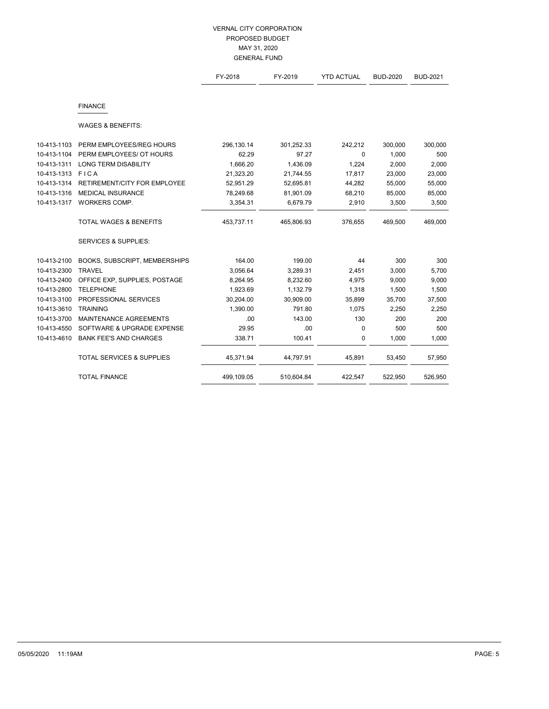|             |                                     | FY-2018    | FY-2019    | <b>YTD ACTUAL</b> | <b>BUD-2020</b> | <b>BUD-2021</b> |
|-------------|-------------------------------------|------------|------------|-------------------|-----------------|-----------------|
|             | <b>FINANCE</b>                      |            |            |                   |                 |                 |
|             | <b>WAGES &amp; BENEFITS:</b>        |            |            |                   |                 |                 |
| 10-413-1103 | PERM EMPLOYEES/REG HOURS            | 296,130.14 | 301,252.33 | 242,212           | 300,000         | 300,000         |
| 10-413-1104 | PERM EMPLOYEES/ OT HOURS            | 62.29      | 97.27      | $\Omega$          | 1,000           | 500             |
| 10-413-1311 | <b>LONG TERM DISABILITY</b>         | 1,666.20   | 1,436.09   | 1,224             | 2,000           | 2,000           |
| 10-413-1313 | FICA                                | 21,323.20  | 21,744.55  | 17,817            | 23,000          | 23,000          |
| 10-413-1314 | <b>RETIREMENT/CITY FOR EMPLOYEE</b> | 52,951.29  | 52,695.81  | 44,282            | 55,000          | 55,000          |
| 10-413-1316 | <b>MEDICAL INSURANCE</b>            | 78,249.68  | 81,901.09  | 68,210            | 85,000          | 85,000          |
| 10-413-1317 | WORKERS COMP.                       | 3,354.31   | 6,679.79   | 2,910             | 3,500           | 3,500           |
|             | <b>TOTAL WAGES &amp; BENEFITS</b>   | 453,737.11 | 465,806.93 | 376,655           | 469,500         | 469,000         |
|             | <b>SERVICES &amp; SUPPLIES:</b>     |            |            |                   |                 |                 |
| 10-413-2100 | BOOKS, SUBSCRIPT, MEMBERSHIPS       | 164.00     | 199.00     | 44                | 300             | 300             |
| 10-413-2300 | <b>TRAVEL</b>                       | 3,056.64   | 3,289.31   | 2,451             | 3,000           | 5,700           |
| 10-413-2400 | OFFICE EXP, SUPPLIES, POSTAGE       | 8,264.95   | 8,232.60   | 4,975             | 9,000           | 9,000           |
| 10-413-2800 | <b>TELEPHONE</b>                    | 1,923.69   | 1,132.79   | 1,318             | 1,500           | 1,500           |
| 10-413-3100 | PROFESSIONAL SERVICES               | 30,204.00  | 30,909.00  | 35,899            | 35,700          | 37,500          |
| 10-413-3610 | <b>TRAINING</b>                     | 1,390.00   | 791.80     | 1,075             | 2,250           | 2,250           |
| 10-413-3700 | MAINTENANCE AGREEMENTS              | .00        | 143.00     | 130               | 200             | 200             |
| 10-413-4550 | SOFTWARE & UPGRADE EXPENSE          | 29.95      | .00        | 0                 | 500             | 500             |
| 10-413-4610 | <b>BANK FEE'S AND CHARGES</b>       | 338.71     | 100.41     | 0                 | 1,000           | 1,000           |
|             | TOTAL SERVICES & SUPPLIES           | 45,371.94  | 44,797.91  | 45,891            | 53,450          | 57,950          |
|             | <b>TOTAL FINANCE</b>                | 499,109.05 | 510,604.84 | 422,547           | 522,950         | 526,950         |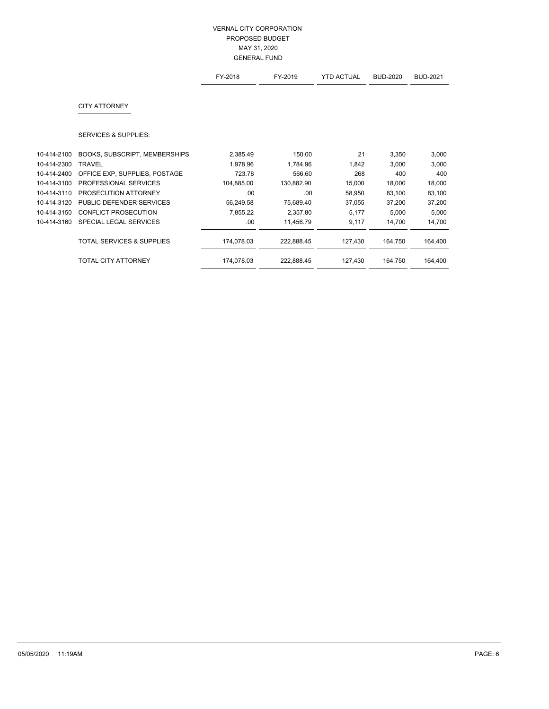|             |                                      | FY-2018    | FY-2019    | <b>YTD ACTUAL</b> | <b>BUD-2020</b> | <b>BUD-2021</b> |
|-------------|--------------------------------------|------------|------------|-------------------|-----------------|-----------------|
|             | <b>CITY ATTORNEY</b>                 |            |            |                   |                 |                 |
|             | <b>SERVICES &amp; SUPPLIES:</b>      |            |            |                   |                 |                 |
| 10-414-2100 | BOOKS, SUBSCRIPT, MEMBERSHIPS        | 2,385.49   | 150.00     | 21                | 3,350           | 3,000           |
| 10-414-2300 | <b>TRAVEL</b>                        | 1,978.96   | 1,784.96   | 1,842             | 3,000           | 3,000           |
| 10-414-2400 | OFFICE EXP, SUPPLIES, POSTAGE        | 723.78     | 566.60     | 268               | 400             | 400             |
| 10-414-3100 | PROFESSIONAL SERVICES                | 104,885.00 | 130,882.90 | 15,000            | 18,000          | 18,000          |
| 10-414-3110 | PROSECUTION ATTORNEY                 | .00        | .00        | 58,950            | 83,100          | 83,100          |
| 10-414-3120 | PUBLIC DEFENDER SERVICES             | 56,249.58  | 75,689.40  | 37,055            | 37,200          | 37,200          |
| 10-414-3150 | <b>CONFLICT PROSECUTION</b>          | 7,855.22   | 2,357.80   | 5,177             | 5,000           | 5,000           |
| 10-414-3160 | SPECIAL LEGAL SERVICES               | .00        | 11,456.79  | 9,117             | 14,700          | 14,700          |
|             | <b>TOTAL SERVICES &amp; SUPPLIES</b> | 174,078.03 | 222,888.45 | 127,430           | 164,750         | 164,400         |
|             | <b>TOTAL CITY ATTORNEY</b>           | 174,078.03 | 222,888.45 | 127,430           | 164,750         | 164,400         |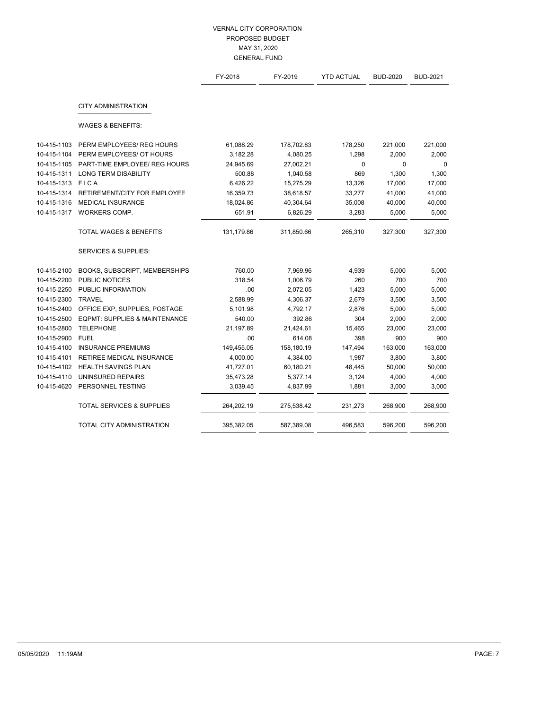|             |                                          | FY-2018    | FY-2019    | <b>YTD ACTUAL</b> | <b>BUD-2020</b> | <b>BUD-2021</b> |
|-------------|------------------------------------------|------------|------------|-------------------|-----------------|-----------------|
|             | <b>CITY ADMINISTRATION</b>               |            |            |                   |                 |                 |
|             | <b>WAGES &amp; BENEFITS:</b>             |            |            |                   |                 |                 |
| 10-415-1103 | PERM EMPLOYEES/ REG HOURS                | 61,088.29  | 178,702.83 | 178,250           | 221,000         | 221,000         |
| 10-415-1104 | PERM EMPLOYEES/ OT HOURS                 | 3,182.28   | 4,080.25   | 1,298             | 2,000           | 2,000           |
| 10-415-1105 | PART-TIME EMPLOYEE/ REG HOURS            | 24,945.69  | 27,002.21  | $\mathbf 0$       | $\mathbf{0}$    | 0               |
| 10-415-1311 | LONG TERM DISABILITY                     | 500.88     | 1,040.58   | 869               | 1,300           | 1,300           |
| 10-415-1313 | <b>FICA</b>                              | 6,426.22   | 15,275.29  | 13,326            | 17,000          | 17,000          |
| 10-415-1314 | RETIREMENT/CITY FOR EMPLOYEE             | 16,359.73  | 38,618.57  | 33,277            | 41,000          | 41,000          |
| 10-415-1316 | <b>MEDICAL INSURANCE</b>                 | 18,024.86  | 40,304.64  | 35,008            | 40,000          | 40,000          |
| 10-415-1317 | WORKERS COMP.                            | 651.91     | 6,826.29   | 3,283             | 5,000           | 5,000           |
|             | <b>TOTAL WAGES &amp; BENEFITS</b>        | 131,179.86 | 311,850.66 | 265,310           | 327,300         | 327,300         |
|             | <b>SERVICES &amp; SUPPLIES:</b>          |            |            |                   |                 |                 |
| 10-415-2100 | BOOKS, SUBSCRIPT, MEMBERSHIPS            | 760.00     | 7,969.96   | 4,939             | 5,000           | 5,000           |
| 10-415-2200 | PUBLIC NOTICES                           | 318.54     | 1,006.79   | 260               | 700             | 700             |
| 10-415-2250 | PUBLIC INFORMATION                       | .00        | 2,072.05   | 1,423             | 5,000           | 5,000           |
| 10-415-2300 | <b>TRAVEL</b>                            | 2,588.99   | 4,306.37   | 2,679             | 3,500           | 3,500           |
| 10-415-2400 | OFFICE EXP, SUPPLIES, POSTAGE            | 5,101.98   | 4,792.17   | 2,876             | 5,000           | 5,000           |
| 10-415-2500 | <b>EQPMT: SUPPLIES &amp; MAINTENANCE</b> | 540.00     | 392.86     | 304               | 2,000           | 2,000           |
| 10-415-2800 | <b>TELEPHONE</b>                         | 21,197.89  | 21,424.61  | 15,465            | 23,000          | 23,000          |
| 10-415-2900 | <b>FUEL</b>                              | .00        | 614.08     | 398               | 900             | 900             |
| 10-415-4100 | <b>INSURANCE PREMIUMS</b>                | 149,455.05 | 158,180.19 | 147,494           | 163,000         | 163,000         |
| 10-415-4101 | RETIREE MEDICAL INSURANCE                | 4,000.00   | 4,384.00   | 1,987             | 3,800           | 3,800           |
| 10-415-4102 | <b>HEALTH SAVINGS PLAN</b>               | 41,727.01  | 60,180.21  | 48,445            | 50,000          | 50,000          |
| 10-415-4110 | UNINSURED REPAIRS                        | 35,473.28  | 5,377.14   | 3,124             | 4,000           | 4,000           |
| 10-415-4620 | PERSONNEL TESTING                        | 3,039.45   | 4,837.99   | 1,881             | 3,000           | 3,000           |
|             | <b>TOTAL SERVICES &amp; SUPPLIES</b>     | 264,202.19 | 275,538.42 | 231,273           | 268,900         | 268,900         |
|             | TOTAL CITY ADMINISTRATION                | 395,382.05 | 587,389.08 | 496,583           | 596,200         | 596,200         |
|             |                                          |            |            |                   |                 |                 |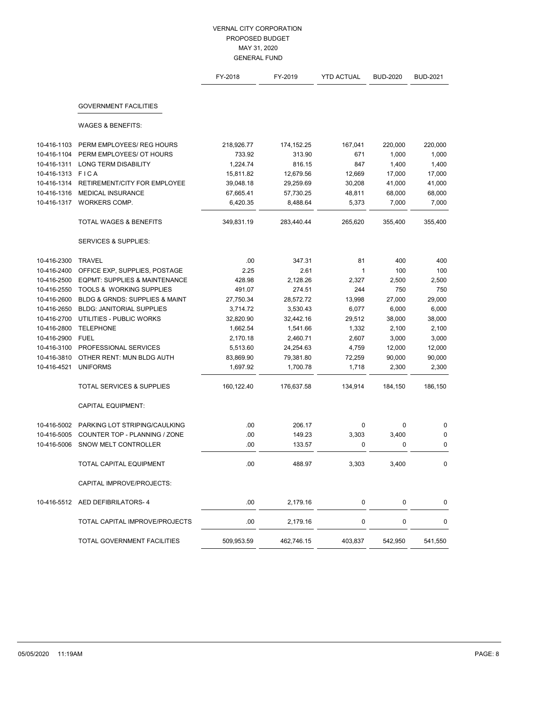|             |                                          | FY-2018    | FY-2019    | <b>YTD ACTUAL</b> | <b>BUD-2020</b> | <b>BUD-2021</b> |
|-------------|------------------------------------------|------------|------------|-------------------|-----------------|-----------------|
|             | <b>GOVERNMENT FACILITIES</b>             |            |            |                   |                 |                 |
|             | <b>WAGES &amp; BENEFITS:</b>             |            |            |                   |                 |                 |
| 10-416-1103 | PERM EMPLOYEES/ REG HOURS                | 218,926.77 | 174,152.25 | 167,041           | 220,000         | 220,000         |
| 10-416-1104 | PERM EMPLOYEES/ OT HOURS                 | 733.92     | 313.90     | 671               | 1,000           | 1,000           |
| 10-416-1311 | <b>LONG TERM DISABILITY</b>              | 1,224.74   | 816.15     | 847               | 1,400           | 1,400           |
| 10-416-1313 | FICA                                     | 15,811.82  | 12,679.56  | 12,669            | 17,000          | 17,000          |
| 10-416-1314 | RETIREMENT/CITY FOR EMPLOYEE             | 39,048.18  | 29,259.69  | 30,208            | 41,000          | 41,000          |
| 10-416-1316 | <b>MEDICAL INSURANCE</b>                 | 67,665.41  | 57,730.25  | 48,811            | 68,000          | 68,000          |
| 10-416-1317 | WORKERS COMP.                            | 6,420.35   | 8,488.64   | 5,373             | 7,000           | 7,000           |
|             | TOTAL WAGES & BENEFITS                   | 349,831.19 | 283,440.44 | 265,620           | 355,400         | 355,400         |
|             | <b>SERVICES &amp; SUPPLIES:</b>          |            |            |                   |                 |                 |
| 10-416-2300 | <b>TRAVEL</b>                            | .00        | 347.31     | 81                | 400             | 400             |
| 10-416-2400 | OFFICE EXP, SUPPLIES, POSTAGE            | 2.25       | 2.61       | 1                 | 100             | 100             |
| 10-416-2500 | <b>EQPMT: SUPPLIES &amp; MAINTENANCE</b> | 428.98     | 2,128.26   | 2,327             | 2,500           | 2,500           |
| 10-416-2550 | <b>TOOLS &amp; WORKING SUPPLIES</b>      | 491.07     | 274.51     | 244               | 750             | 750             |
| 10-416-2600 | BLDG & GRNDS: SUPPLIES & MAINT           | 27,750.34  | 28,572.72  | 13,998            | 27,000          | 29,000          |
| 10-416-2650 | <b>BLDG: JANITORIAL SUPPLIES</b>         | 3,714.72   | 3,530.43   | 6,077             | 6,000           | 6,000           |
| 10-416-2700 | UTILITIES - PUBLIC WORKS                 | 32,820.90  | 32,442.16  | 29,512            | 38,000          | 38,000          |
| 10-416-2800 | <b>TELEPHONE</b>                         | 1,662.54   | 1,541.66   | 1,332             | 2,100           | 2,100           |
| 10-416-2900 | <b>FUEL</b>                              | 2,170.18   | 2,460.71   | 2,607             | 3,000           | 3,000           |
| 10-416-3100 | PROFESSIONAL SERVICES                    | 5,513.60   | 24,254.63  | 4,759             | 12,000          | 12,000          |
| 10-416-3810 | OTHER RENT: MUN BLDG AUTH                | 83,869.90  | 79,381.80  | 72,259            | 90,000          | 90,000          |
| 10-416-4521 | <b>UNIFORMS</b>                          | 1,697.92   | 1,700.78   | 1,718             | 2,300           | 2,300           |
|             | <b>TOTAL SERVICES &amp; SUPPLIES</b>     | 160,122.40 | 176,637.58 | 134,914           | 184,150         | 186,150         |
|             | <b>CAPITAL EQUIPMENT:</b>                |            |            |                   |                 |                 |
| 10-416-5002 | PARKING LOT STRIPING/CAULKING            | .00        | 206.17     | 0                 | $\mathbf 0$     | 0               |
| 10-416-5005 | COUNTER TOP - PLANNING / ZONE            | .00        | 149.23     | 3,303             | 3,400           | 0               |
| 10-416-5006 | SNOW MELT CONTROLLER                     | .00        | 133.57     | 0                 | $\mathbf 0$     | 0               |
|             | <b>TOTAL CAPITAL EQUIPMENT</b>           | .00        | 488.97     | 3,303             | 3,400           | 0               |
|             | CAPITAL IMPROVE/PROJECTS:                |            |            |                   |                 |                 |
|             | 10-416-5512 AED DEFIBRILATORS-4          | .00        | 2,179.16   | 0                 | 0               | 0               |
|             | TOTAL CAPITAL IMPROVE/PROJECTS           | .00        | 2,179.16   | 0                 | 0               | 0               |
|             | TOTAL GOVERNMENT FACILITIES              | 509,953.59 | 462,746.15 | 403,837           | 542,950         | 541,550         |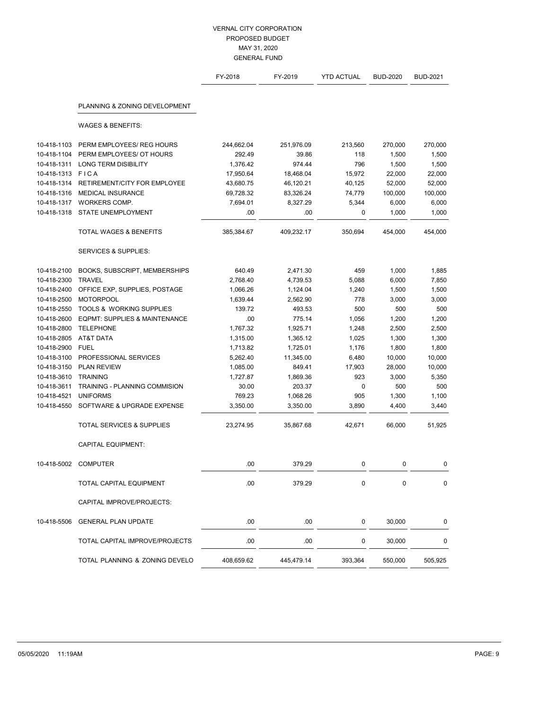|                            |                                          | FY-2018                | FY-2019                | <b>YTD ACTUAL</b> | <b>BUD-2020</b> | <b>BUD-2021</b> |
|----------------------------|------------------------------------------|------------------------|------------------------|-------------------|-----------------|-----------------|
|                            | PLANNING & ZONING DEVELOPMENT            |                        |                        |                   |                 |                 |
|                            | <b>WAGES &amp; BENEFITS:</b>             |                        |                        |                   |                 |                 |
|                            |                                          |                        |                        |                   |                 |                 |
| 10-418-1103                | PERM EMPLOYEES/ REG HOURS                | 244,662.04             | 251,976.09             | 213,560           | 270,000         | 270,000         |
| 10-418-1104                | PERM EMPLOYEES/ OT HOURS                 | 292.49                 | 39.86                  | 118               | 1,500           | 1,500           |
| 10-418-1311                | <b>LONG TERM DISIBILITY</b>              | 1,376.42               | 974.44                 | 796               | 1,500           | 1,500           |
| 10-418-1313<br>10-418-1314 | FICA<br>RETIREMENT/CITY FOR EMPLOYEE     | 17,950.64<br>43,680.75 | 18,468.04<br>46,120.21 | 15,972            | 22,000          | 22,000          |
| 10-418-1316                | <b>MEDICAL INSURANCE</b>                 |                        |                        | 40,125            | 52,000          | 52,000          |
| 10-418-1317                | WORKERS COMP.                            | 69,728.32              | 83,326.24              | 74,779            | 100,000         | 100,000         |
| 10-418-1318                | STATE UNEMPLOYMENT                       | 7,694.01<br>.00        | 8,327.29<br>.00        | 5,344<br>0        | 6,000<br>1,000  | 6,000<br>1,000  |
|                            | <b>TOTAL WAGES &amp; BENEFITS</b>        | 385,384.67             | 409,232.17             | 350,694           | 454,000         | 454,000         |
|                            | <b>SERVICES &amp; SUPPLIES:</b>          |                        |                        |                   |                 |                 |
| 10-418-2100                | BOOKS, SUBSCRIPT, MEMBERSHIPS            | 640.49                 | 2,471.30               | 459               | 1,000           | 1,885           |
| 10-418-2300                | <b>TRAVEL</b>                            | 2,768.40               | 4,739.53               | 5,088             | 6,000           | 7,850           |
| 10-418-2400                | OFFICE EXP, SUPPLIES, POSTAGE            | 1,066.26               | 1,124.04               | 1,240             | 1,500           | 1,500           |
| 10-418-2500                | <b>MOTORPOOL</b>                         | 1,639.44               | 2,562.90               | 778               | 3,000           | 3,000           |
| 10-418-2550                | <b>TOOLS &amp; WORKING SUPPLIES</b>      | 139.72                 | 493.53                 | 500               | 500             | 500             |
| 10-418-2600                | <b>EQPMT: SUPPLIES &amp; MAINTENANCE</b> | .00                    | 775.14                 | 1,056             | 1,200           | 1,200           |
| 10-418-2800                | <b>TELEPHONE</b>                         | 1,767.32               | 1,925.71               | 1,248             | 2,500           | 2,500           |
| 10-418-2805                | AT&T DATA                                | 1,315.00               | 1,365.12               | 1,025             | 1,300           | 1,300           |
| 10-418-2900                | <b>FUEL</b>                              | 1,713.82               | 1,725.01               | 1,176             | 1,800           | 1,800           |
| 10-418-3100                | PROFESSIONAL SERVICES                    | 5,262.40               | 11,345.00              | 6,480             | 10,000          | 10,000          |
| 10-418-3150                | <b>PLAN REVIEW</b>                       | 1,085.00               | 849.41                 | 17,903            | 28,000          | 10,000          |
| 10-418-3610                | <b>TRAINING</b>                          | 1,727.87               | 1,869.36               | 923               | 3,000           | 5,350           |
| 10-418-3611                | <b>TRAINING - PLANNING COMMISION</b>     | 30.00                  | 203.37                 | 0                 | 500             | 500             |
| 10-418-4521                | <b>UNIFORMS</b>                          | 769.23                 | 1,068.26               | 905               | 1,300           | 1,100           |
| 10-418-4550                | SOFTWARE & UPGRADE EXPENSE               | 3,350.00               | 3,350.00               | 3,890             | 4,400           | 3,440           |
|                            | <b>TOTAL SERVICES &amp; SUPPLIES</b>     | 23,274.95              | 35,867.68              | 42,671            | 66,000          | 51,925          |
|                            | <b>CAPITAL EQUIPMENT:</b>                |                        |                        |                   |                 |                 |
| 10-418-5002                | <b>COMPUTER</b>                          | .00                    | 379.29                 | $\mathbf 0$       | 0               | 0               |
|                            | TOTAL CAPITAL EQUIPMENT                  | .00                    | 379.29                 | 0                 | $\mathbf{0}$    | 0               |
|                            | CAPITAL IMPROVE/PROJECTS:                |                        |                        |                   |                 |                 |
| 10-418-5506                | <b>GENERAL PLAN UPDATE</b>               | .00                    | .00                    | 0                 | 30,000          | 0               |
|                            | TOTAL CAPITAL IMPROVE/PROJECTS           | .00                    | .00                    | 0                 | 30,000          | 0               |
|                            | TOTAL PLANNING & ZONING DEVELO           | 408,659.62             | 445,479.14             | 393,364           | 550,000         | 505,925         |
|                            |                                          |                        |                        |                   |                 |                 |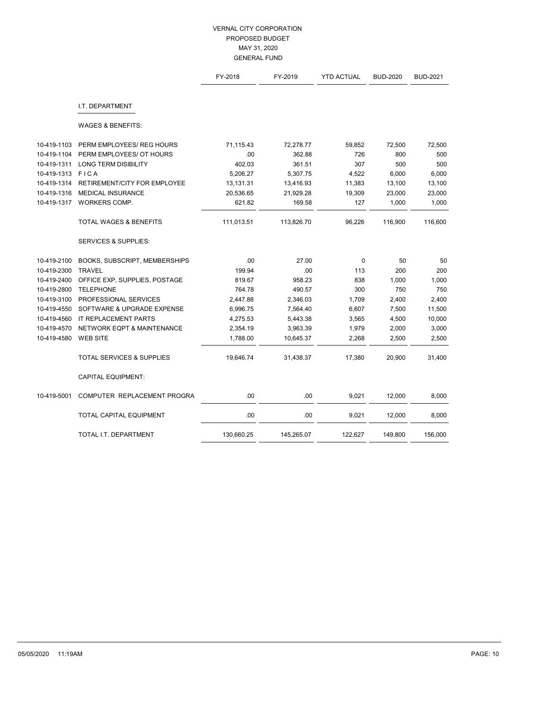|             |                                      | FY-2018    | FY-2019    | <b>YTD ACTUAL</b> | <b>BUD-2020</b> | <b>BUD-2021</b> |
|-------------|--------------------------------------|------------|------------|-------------------|-----------------|-----------------|
|             | I.T. DEPARTMENT                      |            |            |                   |                 |                 |
|             | <b>WAGES &amp; BENEFITS:</b>         |            |            |                   |                 |                 |
| 10-419-1103 | PERM EMPLOYEES/ REG HOURS            | 71,115.43  | 72,278.77  | 59,852            | 72,500          | 72,500          |
| 10-419-1104 | PERM EMPLOYEES/ OT HOURS             | .00        | 362.88     | 726               | 800             | 500             |
| 10-419-1311 | <b>LONG TERM DISIBILITY</b>          | 402.03     | 361.51     | 307               | 500             | 500             |
| 10-419-1313 | <b>FICA</b>                          | 5,206.27   | 5,307.75   | 4,522             | 6,000           | 6,000           |
| 10-419-1314 | RETIREMENT/CITY FOR EMPLOYEE         | 13,131.31  | 13,416.93  | 11,383            | 13,100          | 13,100          |
| 10-419-1316 | MEDICAL INSURANCE                    | 20,536.65  | 21,929.28  | 19,309            | 23,000          | 23,000          |
| 10-419-1317 | WORKERS COMP.                        | 621.82     | 169.58     | 127               | 1,000           | 1,000           |
|             | <b>TOTAL WAGES &amp; BENEFITS</b>    | 111,013.51 | 113,826.70 | 96,226            | 116,900         | 116,600         |
|             | <b>SERVICES &amp; SUPPLIES:</b>      |            |            |                   |                 |                 |
| 10-419-2100 | BOOKS, SUBSCRIPT, MEMBERSHIPS        | .00        | 27.00      | $\mathbf 0$       | 50              | 50              |
| 10-419-2300 | <b>TRAVEL</b>                        | 199.94     | .00        | 113               | 200             | 200             |
| 10-419-2400 | OFFICE EXP, SUPPLIES, POSTAGE        | 819.67     | 958.23     | 838               | 1,000           | 1,000           |
| 10-419-2800 | <b>TELEPHONE</b>                     | 764.78     | 490.57     | 300               | 750             | 750             |
| 10-419-3100 | PROFESSIONAL SERVICES                | 2,447.88   | 2,346.03   | 1,709             | 2,400           | 2,400           |
| 10-419-4550 | SOFTWARE & UPGRADE EXPENSE           | 6,996.75   | 7,564.40   | 6,607             | 7,500           | 11,500          |
| 10-419-4560 | IT REPLACEMENT PARTS                 | 4,275.53   | 5,443.38   | 3,565             | 4,500           | 10,000          |
| 10-419-4570 | NETWORK EQPT & MAINTENANCE           | 2,354.19   | 3,963.39   | 1,979             | 2,000           | 3,000           |
| 10-419-4580 | <b>WEB SITE</b>                      | 1,788.00   | 10,645.37  | 2,268             | 2,500           | 2,500           |
|             | <b>TOTAL SERVICES &amp; SUPPLIES</b> | 19,646.74  | 31,438.37  | 17,380            | 20,900          | 31,400          |
|             | <b>CAPITAL EQUIPMENT:</b>            |            |            |                   |                 |                 |
| 10-419-5001 | COMPUTER REPLACEMENT PROGRA          | .00        | .00        | 9,021             | 12,000          | 8,000           |
|             | TOTAL CAPITAL EQUIPMENT              | .00        | .00        | 9,021             | 12,000          | 8,000           |
|             | TOTAL I.T. DEPARTMENT                | 130,660.25 | 145,265.07 | 122,627           | 149,800         | 156,000         |
|             |                                      |            |            |                   |                 |                 |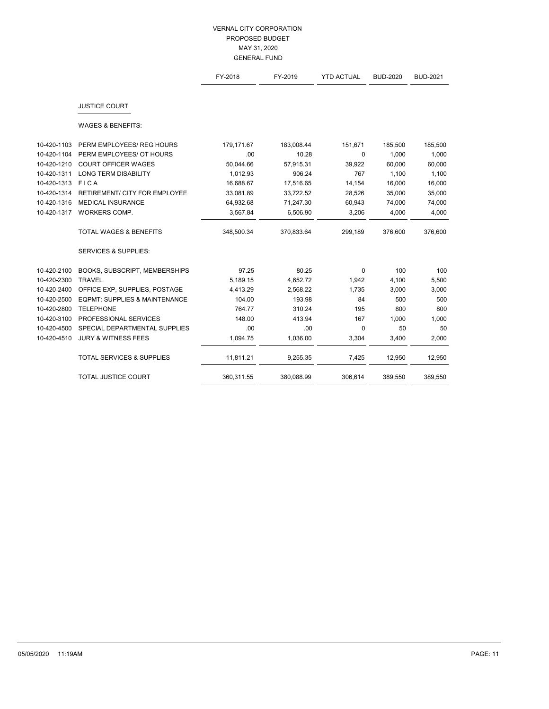|             |                                          | FY-2018    | FY-2019    | <b>YTD ACTUAL</b> | <b>BUD-2020</b> | <b>BUD-2021</b> |
|-------------|------------------------------------------|------------|------------|-------------------|-----------------|-----------------|
|             |                                          |            |            |                   |                 |                 |
|             | <b>JUSTICE COURT</b>                     |            |            |                   |                 |                 |
|             | <b>WAGES &amp; BENEFITS:</b>             |            |            |                   |                 |                 |
| 10-420-1103 | PERM EMPLOYEES/ REG HOURS                | 179,171.67 | 183,008.44 | 151,671           | 185,500         | 185,500         |
| 10-420-1104 | PERM EMPLOYEES/ OT HOURS                 | .00        | 10.28      | $\mathbf 0$       | 1,000           | 1,000           |
| 10-420-1210 | <b>COURT OFFICER WAGES</b>               | 50,044.66  | 57,915.31  | 39,922            | 60,000          | 60,000          |
| 10-420-1311 | <b>LONG TERM DISABILITY</b>              | 1,012.93   | 906.24     | 767               | 1,100           | 1,100           |
| 10-420-1313 | <b>FICA</b>                              | 16,688.67  | 17,516.65  | 14,154            | 16,000          | 16,000          |
| 10-420-1314 | <b>RETIREMENT/ CITY FOR EMPLOYEE</b>     | 33,081.89  | 33,722.52  | 28,526            | 35,000          | 35,000          |
| 10-420-1316 | <b>MEDICAL INSURANCE</b>                 | 64,932.68  | 71,247.30  | 60,943            | 74,000          | 74,000          |
| 10-420-1317 | WORKERS COMP.                            | 3,567.84   | 6,506.90   | 3,206             | 4,000           | 4,000           |
|             | <b>TOTAL WAGES &amp; BENEFITS</b>        | 348,500.34 | 370,833.64 | 299,189           | 376,600         | 376,600         |
|             | <b>SERVICES &amp; SUPPLIES:</b>          |            |            |                   |                 |                 |
| 10-420-2100 | BOOKS, SUBSCRIPT, MEMBERSHIPS            | 97.25      | 80.25      | $\mathbf 0$       | 100             | 100             |
| 10-420-2300 | <b>TRAVEL</b>                            | 5,189.15   | 4,652.72   | 1,942             | 4,100           | 5,500           |
| 10-420-2400 | OFFICE EXP, SUPPLIES, POSTAGE            | 4,413.29   | 2,568.22   | 1,735             | 3,000           | 3,000           |
| 10-420-2500 | <b>EQPMT: SUPPLIES &amp; MAINTENANCE</b> | 104.00     | 193.98     | 84                | 500             | 500             |
| 10-420-2800 | <b>TELEPHONE</b>                         | 764.77     | 310.24     | 195               | 800             | 800             |
| 10-420-3100 | PROFESSIONAL SERVICES                    | 148.00     | 413.94     | 167               | 1,000           | 1,000           |
| 10-420-4500 | SPECIAL DEPARTMENTAL SUPPLIES            | .00        | .00        | $\mathbf 0$       | 50              | 50              |
| 10-420-4510 | <b>JURY &amp; WITNESS FEES</b>           | 1,094.75   | 1,036.00   | 3,304             | 3,400           | 2,000           |
|             | <b>TOTAL SERVICES &amp; SUPPLIES</b>     | 11,811.21  | 9,255.35   | 7,425             | 12,950          | 12,950          |
|             | <b>TOTAL JUSTICE COURT</b>               | 360,311.55 | 380,088.99 | 306,614           | 389,550         | 389,550         |
|             |                                          |            |            |                   |                 |                 |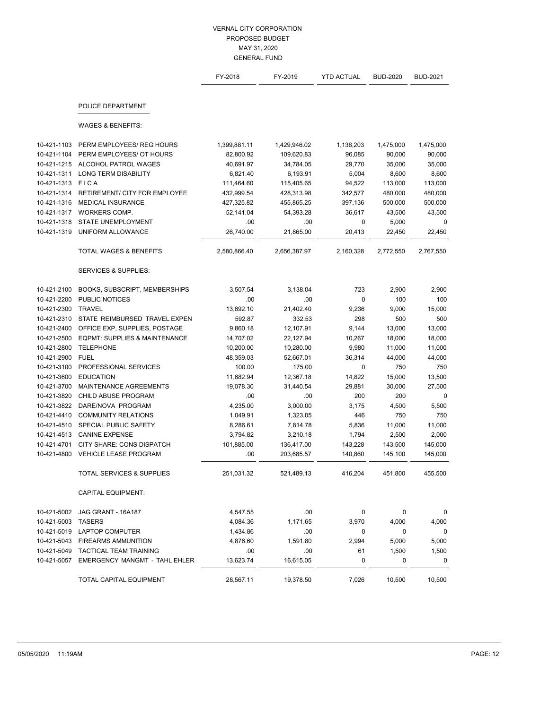|             |                                          | FY-2018      | FY-2019      | <b>YTD ACTUAL</b> | <b>BUD-2020</b> | <b>BUD-2021</b> |
|-------------|------------------------------------------|--------------|--------------|-------------------|-----------------|-----------------|
|             | POLICE DEPARTMENT                        |              |              |                   |                 |                 |
|             | <b>WAGES &amp; BENEFITS:</b>             |              |              |                   |                 |                 |
| 10-421-1103 | PERM EMPLOYEES/ REG HOURS                | 1,399,881.11 | 1,429,946.02 | 1,138,203         | 1,475,000       | 1,475,000       |
| 10-421-1104 | PERM EMPLOYEES/ OT HOURS                 | 82,800.92    | 109,620.83   | 96,085            | 90,000          | 90,000          |
| 10-421-1215 | ALCOHOL PATROL WAGES                     | 40.691.97    | 34,784.05    | 29,770            | 35,000          | 35,000          |
| 10-421-1311 | <b>LONG TERM DISABILITY</b>              | 6,821.40     | 6,193.91     | 5,004             | 8,600           | 8,600           |
| 10-421-1313 | FICA                                     | 111,464.60   | 115,405.65   | 94,522            | 113,000         | 113,000         |
| 10-421-1314 | <b>RETIREMENT/ CITY FOR EMPLOYEE</b>     | 432,999.54   | 428,313.98   | 342,577           | 480,000         | 480,000         |
| 10-421-1316 | MEDICAL INSURANCE                        | 427,325.82   | 455,865.25   | 397,136           | 500,000         | 500,000         |
| 10-421-1317 | WORKERS COMP.                            | 52,141.04    | 54,393.28    | 36,617            | 43,500          | 43,500          |
| 10-421-1318 | STATE UNEMPLOYMENT                       | .00          | .00          | $\mathbf 0$       | 5,000           | 0               |
| 10-421-1319 | UNIFORM ALLOWANCE                        | 26,740.00    | 21,865.00    | 20,413            | 22,450          | 22,450          |
|             | <b>TOTAL WAGES &amp; BENEFITS</b>        | 2,580,866.40 | 2,656,387.97 | 2,160,328         | 2,772,550       | 2,767,550       |
|             | <b>SERVICES &amp; SUPPLIES:</b>          |              |              |                   |                 |                 |
| 10-421-2100 | BOOKS, SUBSCRIPT, MEMBERSHIPS            | 3,507.54     | 3,138.04     | 723               | 2,900           | 2,900           |
| 10-421-2200 | PUBLIC NOTICES                           | .00          | .00          | $\mathbf 0$       | 100             | 100             |
| 10-421-2300 | <b>TRAVEL</b>                            | 13,692.10    | 21,402.40    | 9,236             | 9,000           | 15,000          |
| 10-421-2310 | STATE REIMBURSED TRAVEL EXPEN            | 592.87       | 332.53       | 298               | 500             | 500             |
| 10-421-2400 | OFFICE EXP, SUPPLIES, POSTAGE            | 9,860.18     | 12,107.91    | 9,144             | 13,000          | 13,000          |
| 10-421-2500 | <b>EQPMT: SUPPLIES &amp; MAINTENANCE</b> | 14,707.02    | 22,127.94    | 10,267            | 18,000          | 18,000          |
| 10-421-2800 | <b>TELEPHONE</b>                         | 10,200.00    | 10,280.00    | 9,980             | 11,000          | 11,000          |
| 10-421-2900 | <b>FUEL</b>                              | 48,359.03    | 52,667.01    | 36,314            | 44,000          | 44,000          |
| 10-421-3100 | PROFESSIONAL SERVICES                    | 100.00       | 175.00       | 0                 | 750             | 750             |
| 10-421-3600 | <b>EDUCATION</b>                         | 11,682.94    | 12,367.18    | 14,822            | 15,000          | 13,500          |
| 10-421-3700 | MAINTENANCE AGREEMENTS                   | 19,078.30    | 31,440.54    | 29,881            | 30,000          | 27,500          |
| 10-421-3820 | CHILD ABUSE PROGRAM                      | .00          | .00          | 200               | 200             | $\mathbf{0}$    |
| 10-421-3822 | DARE/NOVA PROGRAM                        | 4,235.00     | 3,000.00     | 3,175             | 4,500           | 5,500           |
| 10-421-4410 | <b>COMMUNITY RELATIONS</b>               | 1,049.91     | 1,323.05     | 446               | 750             | 750             |
| 10-421-4510 | SPECIAL PUBLIC SAFETY                    | 8,286.61     | 7,814.78     | 5,836             | 11,000          | 11,000          |
| 10-421-4513 | <b>CANINE EXPENSE</b>                    | 3,794.82     | 3,210.18     | 1,794             | 2,500           | 2,000           |
| 10-421-4701 | CITY SHARE: CONS DISPATCH                | 101,885.00   | 136,417.00   | 143,228           | 143,500         | 145,000         |
| 10-421-4800 | <b>VEHICLE LEASE PROGRAM</b>             | .00          | 203,685.57   | 140,860           | 145,100         | 145,000         |
|             | TOTAL SERVICES & SUPPLIES                | 251,031.32   | 521,489.13   | 416,204           | 451,800         | 455,500         |
|             | <b>CAPITAL EQUIPMENT:</b>                |              |              |                   |                 |                 |
| 10-421-5002 | JAG GRANT - 16A187                       | 4,547.55     | .00.         | 0                 | $\pmb{0}$       | $\mathbf 0$     |
| 10-421-5003 | <b>TASERS</b>                            | 4,084.36     | 1,171.65     | 3,970             | 4,000           | 4,000           |
| 10-421-5019 | LAPTOP COMPUTER                          | 1,434.86     | .00          | 0                 | 0               | $\mathbf 0$     |
| 10-421-5043 | <b>FIREARMS AMMUNITION</b>               | 4,876.60     | 1,591.80     | 2,994             | 5,000           | 5,000           |
| 10-421-5049 | <b>TACTICAL TEAM TRAINING</b>            | .00          | .00.         | 61                | 1,500           | 1,500           |
| 10-421-5057 | <b>EMERGENCY MANGMT - TAHL EHLER</b>     | 13,623.74    | 16,615.05    | 0                 | 0               | 0               |
|             | TOTAL CAPITAL EQUIPMENT                  | 28,567.11    | 19,378.50    | 7,026             | 10,500          | 10,500          |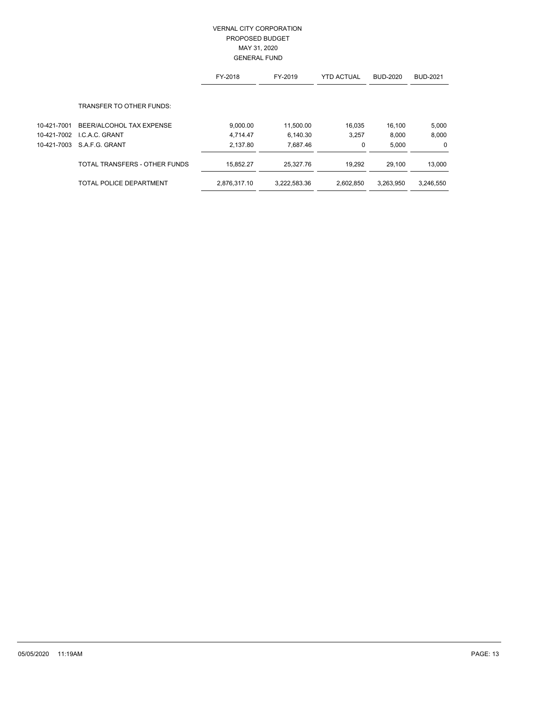|             |                                 | FY-2018      | FY-2019      | <b>YTD ACTUAL</b> | <b>BUD-2020</b> | <b>BUD-2021</b> |
|-------------|---------------------------------|--------------|--------------|-------------------|-----------------|-----------------|
|             | <b>TRANSFER TO OTHER FUNDS:</b> |              |              |                   |                 |                 |
|             |                                 |              |              |                   |                 |                 |
| 10-421-7001 | BEER/ALCOHOL TAX EXPENSE        | 9,000.00     | 11.500.00    | 16,035            | 16.100          | 5,000           |
| 10-421-7002 | LC.A.C. GRANT                   | 4.714.47     | 6,140.30     | 3,257             | 8,000           | 8,000           |
|             | 10-421-7003 S.A.F.G. GRANT      | 2.137.80     | 7.687.46     | 0                 | 5.000           | $\mathbf 0$     |
|             | TOTAL TRANSFERS - OTHER FUNDS   | 15,852.27    | 25.327.76    | 19.292            | 29,100          | 13,000          |
|             | TOTAL POLICE DEPARTMENT         | 2,876,317.10 | 3,222,583.36 | 2,602,850         | 3.263.950       | 3,246,550       |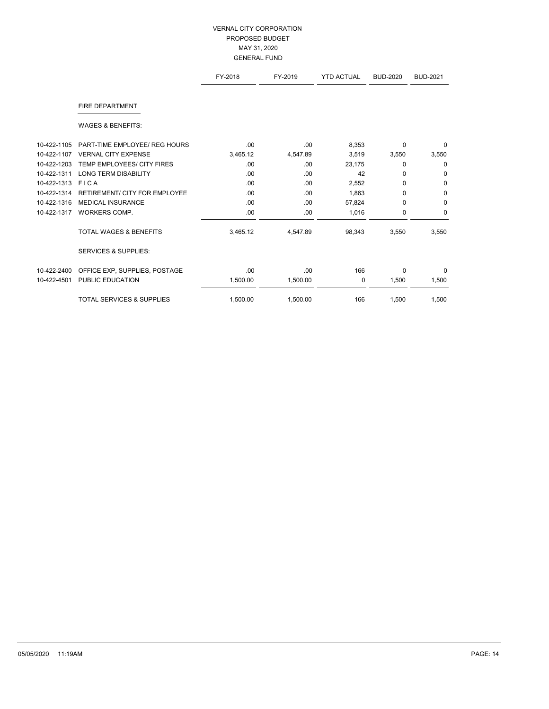|             |                                      | FY-2018  | FY-2019  | <b>YTD ACTUAL</b> | <b>BUD-2020</b> | <b>BUD-2021</b> |
|-------------|--------------------------------------|----------|----------|-------------------|-----------------|-----------------|
|             | <b>FIRE DEPARTMENT</b>               |          |          |                   |                 |                 |
|             | <b>WAGES &amp; BENEFITS:</b>         |          |          |                   |                 |                 |
| 10-422-1105 | PART-TIME EMPLOYEE/ REG HOURS        | .00      | .00      | 8,353             | $\Omega$        | 0               |
| 10-422-1107 | <b>VERNAL CITY EXPENSE</b>           | 3,465.12 | 4,547.89 | 3,519             | 3,550           | 3,550           |
| 10-422-1203 | TEMP EMPLOYEES/ CITY FIRES           | .00      | .00      | 23,175            | $\Omega$        | 0               |
| 10-422-1311 | <b>LONG TERM DISABILITY</b>          | .00      | .00      | 42                | 0               | $\mathbf 0$     |
| 10-422-1313 | FICA                                 | .00      | .00      | 2,552             | $\Omega$        | 0               |
| 10-422-1314 | <b>RETIREMENT/ CITY FOR EMPLOYEE</b> | .00      | .00      | 1,863             | 0               | 0               |
| 10-422-1316 | <b>MEDICAL INSURANCE</b>             | .00      | .00      | 57,824            | $\Omega$        | $\mathbf 0$     |
| 10-422-1317 | WORKERS COMP.                        | .00      | .00      | 1,016             | $\mathbf 0$     | $\mathbf 0$     |
|             | <b>TOTAL WAGES &amp; BENEFITS</b>    | 3,465.12 | 4,547.89 | 98,343            | 3,550           | 3,550           |
|             | <b>SERVICES &amp; SUPPLIES:</b>      |          |          |                   |                 |                 |
| 10-422-2400 | OFFICE EXP, SUPPLIES, POSTAGE        | .00      | .00      | 166               | $\Omega$        | 0               |
| 10-422-4501 | PUBLIC EDUCATION                     | 1,500.00 | 1,500.00 | 0                 | 1,500           | 1,500           |
|             | <b>TOTAL SERVICES &amp; SUPPLIES</b> | 1.500.00 | 1,500.00 | 166               | 1,500           | 1,500           |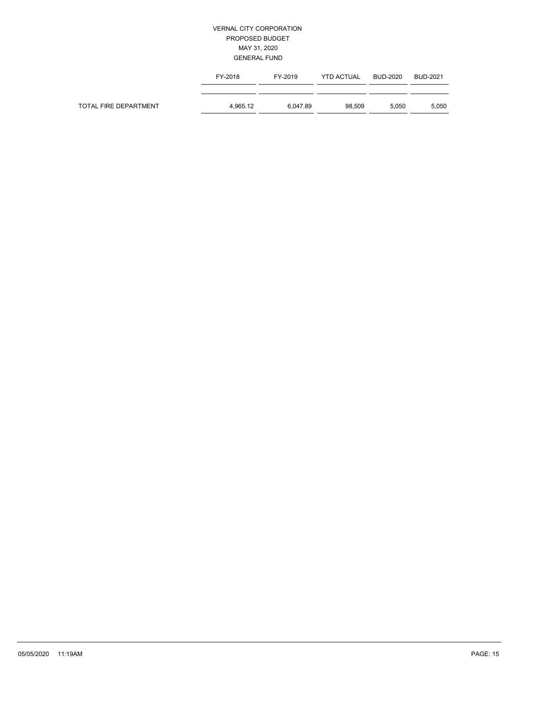|                       | FY-2018  | FY-2019  | <b>YTD ACTUAL</b> | BUD-2020 | BUD-2021 |
|-----------------------|----------|----------|-------------------|----------|----------|
|                       |          |          |                   |          |          |
| TOTAL FIRE DEPARTMENT | 4.965.12 | 6.047.89 | 98.509            | 5.050    | 5,050    |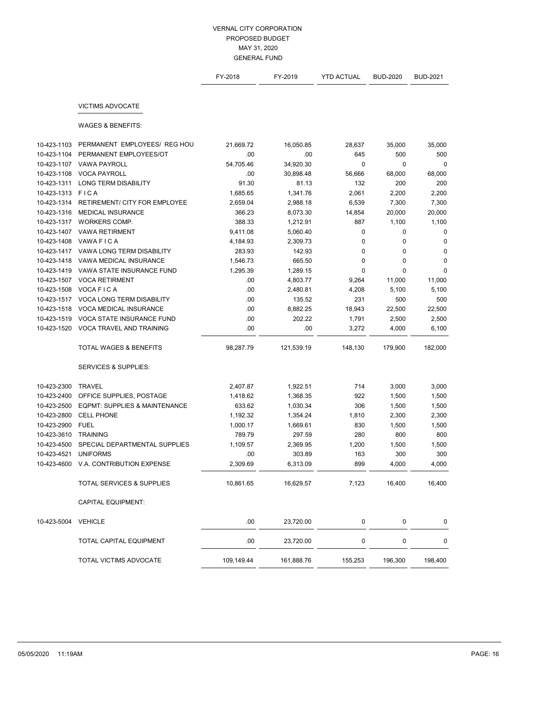|             |                                          | FY-2018    | FY-2019    | <b>YTD ACTUAL</b> | <b>BUD-2020</b> | <b>BUD-2021</b> |
|-------------|------------------------------------------|------------|------------|-------------------|-----------------|-----------------|
|             | <b>VICTIMS ADVOCATE</b>                  |            |            |                   |                 |                 |
|             | <b>WAGES &amp; BENEFITS:</b>             |            |            |                   |                 |                 |
| 10-423-1103 | PERMANENT EMPLOYEES/ REG HOU             | 21,669.72  | 16,050.85  | 28,637            | 35,000          | 35,000          |
| 10-423-1104 | PERMANENT EMPLOYEES/OT                   | .00        | .00        | 645               | 500             | 500             |
| 10-423-1107 | <b>VAWA PAYROLL</b>                      | 54.705.46  | 34,920.30  | 0                 | 0               | 0               |
| 10-423-1108 | <b>VOCA PAYROLL</b>                      | .00        | 30,898.48  | 56,666            | 68,000          | 68,000          |
| 10-423-1311 | <b>LONG TERM DISABILITY</b>              | 91.30      | 81.13      | 132               | 200             | 200             |
| 10-423-1313 | FICA                                     | 1,685.65   | 1,341.76   | 2,061             | 2,200           | 2,200           |
| 10-423-1314 | RETIREMENT/ CITY FOR EMPLOYEE            | 2,659.04   | 2,988.18   | 6,539             | 7,300           | 7,300           |
| 10-423-1316 | <b>MEDICAL INSURANCE</b>                 | 366.23     | 8,073.30   | 14,854            | 20,000          | 20,000          |
| 10-423-1317 | WORKERS COMP.                            | 388.33     | 1,212.91   | 887               | 1,100           | 1,100           |
| 10-423-1407 | <b>VAWA RETIRMENT</b>                    | 9,411.08   | 5,060.40   | 0                 | 0               | 0               |
| 10-423-1408 | VAWA FICA                                | 4,184.93   | 2,309.73   | 0                 | 0               | 0               |
| 10-423-1417 | VAWA LONG TERM DISABILITY                | 283.93     | 142.93     | $\mathbf 0$       | $\mathbf 0$     | 0               |
| 10-423-1418 | VAWA MEDICAL INSURANCE                   | 1,546.73   | 665.50     | 0                 | 0               | 0               |
| 10-423-1419 | VAWA STATE INSURANCE FUND                | 1,295.39   | 1,289.15   | 0                 | 0               | 0               |
| 10-423-1507 | <b>VOCA RETIRMENT</b>                    | .00        | 4,803.77   | 9,264             | 11,000          | 11,000          |
| 10-423-1508 | VOCA FICA                                | .00        | 2,480.81   | 4,208             | 5,100           | 5,100           |
| 10-423-1517 | <b>VOCA LONG TERM DISABILITY</b>         | .00        | 135.52     | 231               | 500             | 500             |
| 10-423-1518 | <b>VOCA MEDICAL INSURANCE</b>            | .00        | 8,882.25   | 18,943            | 22,500          | 22,500          |
| 10-423-1519 | VOCA STATE INSURANCE FUND                | .00        | 202.22     | 1,791             | 2,500           | 2,500           |
| 10-423-1520 | VOCA TRAVEL AND TRAINING                 | .00        | .00        | 3,272             | 4,000           | 6,100           |
|             | <b>TOTAL WAGES &amp; BENEFITS</b>        | 98,287.79  | 121,539.19 | 148,130           | 179,900         | 182,000         |
|             | <b>SERVICES &amp; SUPPLIES:</b>          |            |            |                   |                 |                 |
| 10-423-2300 | <b>TRAVEL</b>                            | 2,407.87   | 1,922.51   | 714               | 3,000           | 3,000           |
| 10-423-2400 | OFFICE SUPPLIES, POSTAGE                 | 1,418.62   | 1,368.35   | 922               | 1,500           | 1,500           |
| 10-423-2500 | <b>EQPMT: SUPPLIES &amp; MAINTENANCE</b> | 633.62     | 1,030.34   | 306               | 1,500           | 1,500           |
| 10-423-2800 | <b>CELL PHONE</b>                        | 1,192.32   | 1,354.24   | 1,810             | 2,300           | 2,300           |
| 10-423-2900 | <b>FUEL</b>                              | 1,000.17   | 1,669.61   | 830               | 1,500           | 1,500           |
| 10-423-3610 | <b>TRAINING</b>                          | 789.79     | 297.59     | 280               | 800             | 800             |
| 10-423-4500 | SPECIAL DEPARTMENTAL SUPPLIES            | 1,109.57   | 2,369.95   | 1,200             | 1,500           | 1,500           |
| 10-423-4521 | <b>UNIFORMS</b>                          | .00        | 303.89     | 163               | 300             | 300             |
| 10-423-4600 | V.A. CONTRIBUTION EXPENSE                | 2,309.69   | 6,313.09   | 899               | 4,000           | 4,000           |
|             | TOTAL SERVICES & SUPPLIES                | 10,861.65  | 16,629.57  | 7,123             | 16,400          | 16,400          |
|             | <b>CAPITAL EQUIPMENT:</b>                |            |            |                   |                 |                 |
| 10-423-5004 | <b>VEHICLE</b>                           | .00        | 23,720.00  | 0                 | 0               | 0               |
|             | TOTAL CAPITAL EQUIPMENT                  | .00        | 23,720.00  | 0                 | 0               | 0               |
|             | TOTAL VICTIMS ADVOCATE                   | 109,149.44 | 161,888.76 | 155,253           | 196,300         | 198,400         |
|             |                                          |            |            |                   |                 |                 |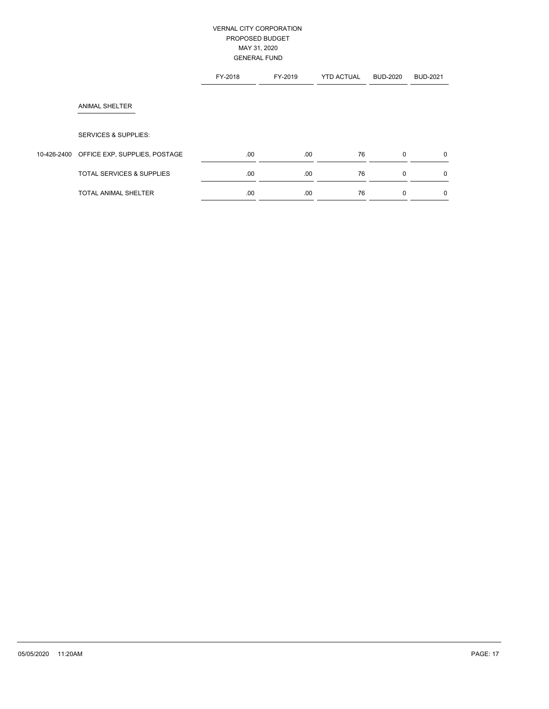|             |                                      | FY-2018 | FY-2019 | <b>YTD ACTUAL</b> | <b>BUD-2020</b> | <b>BUD-2021</b> |
|-------------|--------------------------------------|---------|---------|-------------------|-----------------|-----------------|
|             | <b>ANIMAL SHELTER</b>                |         |         |                   |                 |                 |
|             | <b>SERVICES &amp; SUPPLIES:</b>      |         |         |                   |                 |                 |
| 10-426-2400 | OFFICE EXP, SUPPLIES, POSTAGE        | .00     | .00.    | 76                | $\mathbf 0$     | $\mathbf{0}$    |
|             | <b>TOTAL SERVICES &amp; SUPPLIES</b> | .00     | .00.    | 76                | $\mathbf 0$     | $\mathbf{0}$    |
|             | <b>TOTAL ANIMAL SHELTER</b>          | .00     | .00.    | 76                | 0               | $\mathbf 0$     |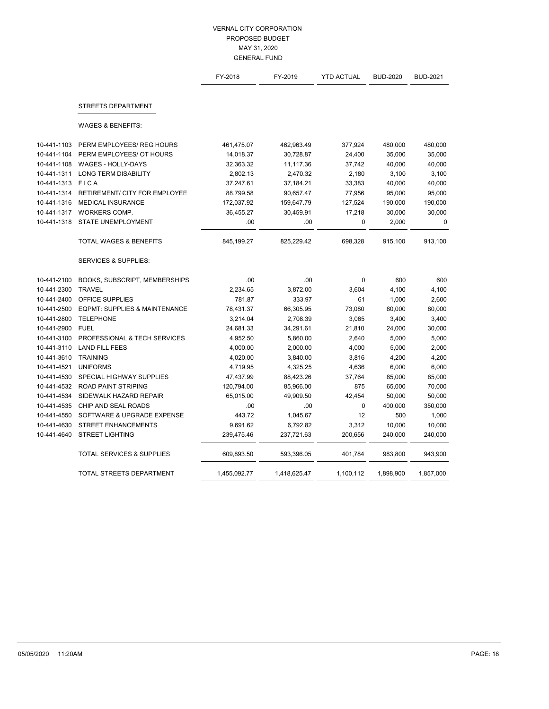|             |                                      | FY-2018      | FY-2019      | <b>YTD ACTUAL</b> | <b>BUD-2020</b> | <b>BUD-2021</b> |
|-------------|--------------------------------------|--------------|--------------|-------------------|-----------------|-----------------|
|             | <b>STREETS DEPARTMENT</b>            |              |              |                   |                 |                 |
|             |                                      |              |              |                   |                 |                 |
|             | <b>WAGES &amp; BENEFITS:</b>         |              |              |                   |                 |                 |
| 10-441-1103 | PERM EMPLOYEES/ REG HOURS            | 461,475.07   | 462,963.49   | 377,924           | 480,000         | 480,000         |
| 10-441-1104 | PERM EMPLOYEES/ OT HOURS             | 14,018.37    | 30,728.87    | 24,400            | 35,000          | 35,000          |
| 10-441-1108 | <b>WAGES - HOLLY-DAYS</b>            | 32,363.32    | 11,117.36    | 37,742            | 40,000          | 40,000          |
| 10-441-1311 | <b>LONG TERM DISABILITY</b>          | 2,802.13     | 2,470.32     | 2,180             | 3,100           | 3,100           |
| 10-441-1313 | <b>FICA</b>                          | 37,247.61    | 37,184.21    | 33,383            | 40,000          | 40,000          |
| 10-441-1314 | <b>RETIREMENT/ CITY FOR EMPLOYEE</b> | 88,799.58    | 90,657.47    | 77,956            | 95,000          | 95,000          |
| 10-441-1316 | <b>MEDICAL INSURANCE</b>             | 172,037.92   | 159,647.79   | 127,524           | 190,000         | 190,000         |
| 10-441-1317 | WORKERS COMP.                        | 36,455.27    | 30,459.91    | 17,218            | 30,000          | 30,000          |
| 10-441-1318 | STATE UNEMPLOYMENT                   | .00          | .00          | 0                 | 2,000           | $\mathbf 0$     |
|             | <b>TOTAL WAGES &amp; BENEFITS</b>    | 845,199.27   | 825,229.42   | 698,328           | 915,100         | 913,100         |
|             | <b>SERVICES &amp; SUPPLIES:</b>      |              |              |                   |                 |                 |
| 10-441-2100 | BOOKS, SUBSCRIPT, MEMBERSHIPS        | .00          | .00          | 0                 | 600             | 600             |
| 10-441-2300 | <b>TRAVEL</b>                        | 2,234.65     | 3,872.00     | 3,604             | 4,100           | 4,100           |
| 10-441-2400 | OFFICE SUPPLIES                      | 781.87       | 333.97       | 61                | 1,000           | 2,600           |
| 10-441-2500 | EQPMT: SUPPLIES & MAINTENANCE        | 78,431.37    | 66,305.95    | 73,080            | 80,000          | 80,000          |
| 10-441-2800 | <b>TELEPHONE</b>                     | 3,214.04     | 2,708.39     | 3,065             | 3,400           | 3,400           |
| 10-441-2900 | <b>FUEL</b>                          | 24,681.33    | 34,291.61    | 21,810            | 24,000          | 30,000          |
| 10-441-3100 | PROFESSIONAL & TECH SERVICES         | 4,952.50     | 5,860.00     | 2,640             | 5,000           | 5,000           |
| 10-441-3110 | <b>LAND FILL FEES</b>                | 4,000.00     | 2,000.00     | 4,000             | 5,000           | 2,000           |
| 10-441-3610 | <b>TRAINING</b>                      | 4,020.00     | 3,840.00     | 3,816             | 4,200           | 4,200           |
| 10-441-4521 | <b>UNIFORMS</b>                      | 4,719.95     | 4,325.25     | 4,636             | 6,000           | 6,000           |
| 10-441-4530 | <b>SPECIAL HIGHWAY SUPPLIES</b>      | 47,437.99    | 88,423.26    | 37,764            | 85,000          | 85,000          |
| 10-441-4532 | <b>ROAD PAINT STRIPING</b>           | 120,794.00   | 85,966.00    | 875               | 65,000          | 70,000          |
| 10-441-4534 | SIDEWALK HAZARD REPAIR               | 65,015.00    | 49,909.50    | 42,454            | 50,000          | 50,000          |
| 10-441-4535 | CHIP AND SEAL ROADS                  | .00          | .00          | $\mathbf{0}$      | 400,000         | 350,000         |
| 10-441-4550 | SOFTWARE & UPGRADE EXPENSE           | 443.72       | 1,045.67     | 12                | 500             | 1,000           |
| 10-441-4630 | <b>STREET ENHANCEMENTS</b>           | 9,691.62     | 6,792.82     | 3,312             | 10,000          | 10,000          |
| 10-441-4640 | <b>STREET LIGHTING</b>               | 239,475.46   | 237,721.63   | 200,656           | 240,000         | 240,000         |
|             | <b>TOTAL SERVICES &amp; SUPPLIES</b> | 609,893.50   | 593,396.05   | 401,784           | 983,800         | 943,900         |
|             | TOTAL STREETS DEPARTMENT             | 1,455,092.77 | 1,418,625.47 | 1,100,112         | 1,898,900       | 1,857,000       |
|             |                                      |              |              |                   |                 |                 |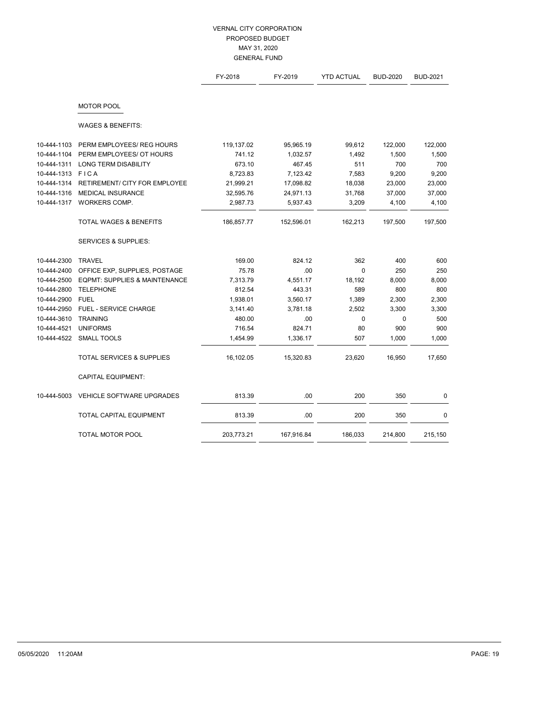|             |                                          | FY-2018    | FY-2019    | <b>YTD ACTUAL</b> | <b>BUD-2020</b> | <b>BUD-2021</b> |
|-------------|------------------------------------------|------------|------------|-------------------|-----------------|-----------------|
|             | <b>MOTOR POOL</b>                        |            |            |                   |                 |                 |
|             | <b>WAGES &amp; BENEFITS:</b>             |            |            |                   |                 |                 |
| 10-444-1103 | PERM EMPLOYEES/ REG HOURS                | 119,137.02 | 95,965.19  | 99,612            | 122,000         | 122,000         |
| 10-444-1104 | PERM EMPLOYEES/ OT HOURS                 | 741.12     | 1,032.57   | 1,492             | 1,500           | 1,500           |
| 10-444-1311 | <b>LONG TERM DISABILITY</b>              | 673.10     | 467.45     | 511               | 700             | 700             |
| 10-444-1313 | <b>FICA</b>                              | 8,723.83   | 7,123.42   | 7,583             | 9,200           | 9,200           |
| 10-444-1314 | <b>RETIREMENT/ CITY FOR EMPLOYEE</b>     | 21,999.21  | 17,098.82  | 18,038            | 23,000          | 23,000          |
| 10-444-1316 | MEDICAL INSURANCE                        | 32,595.76  | 24,971.13  | 31,768            | 37,000          | 37,000          |
| 10-444-1317 | WORKERS COMP.                            | 2,987.73   | 5,937.43   | 3,209             | 4,100           | 4,100           |
|             | <b>TOTAL WAGES &amp; BENEFITS</b>        | 186,857.77 | 152,596.01 | 162,213           | 197,500         | 197,500         |
|             | <b>SERVICES &amp; SUPPLIES:</b>          |            |            |                   |                 |                 |
| 10-444-2300 | <b>TRAVEL</b>                            | 169.00     | 824.12     | 362               | 400             | 600             |
| 10-444-2400 | OFFICE EXP, SUPPLIES, POSTAGE            | 75.78      | .00        | $\mathbf 0$       | 250             | 250             |
| 10-444-2500 | <b>EQPMT: SUPPLIES &amp; MAINTENANCE</b> | 7,313.79   | 4,551.17   | 18,192            | 8,000           | 8,000           |
| 10-444-2800 | <b>TELEPHONE</b>                         | 812.54     | 443.31     | 589               | 800             | 800             |
| 10-444-2900 | <b>FUEL</b>                              | 1,938.01   | 3,560.17   | 1,389             | 2,300           | 2,300           |
| 10-444-2950 | <b>FUEL - SERVICE CHARGE</b>             | 3,141.40   | 3,781.18   | 2,502             | 3,300           | 3,300           |
| 10-444-3610 | <b>TRAINING</b>                          | 480.00     | .00        | 0                 | $\mathbf 0$     | 500             |
| 10-444-4521 | <b>UNIFORMS</b>                          | 716.54     | 824.71     | 80                | 900             | 900             |
| 10-444-4522 | <b>SMALL TOOLS</b>                       | 1,454.99   | 1,336.17   | 507               | 1,000           | 1,000           |
|             | <b>TOTAL SERVICES &amp; SUPPLIES</b>     | 16,102.05  | 15,320.83  | 23,620            | 16,950          | 17,650          |
|             | <b>CAPITAL EQUIPMENT:</b>                |            |            |                   |                 |                 |
| 10-444-5003 | <b>VEHICLE SOFTWARE UPGRADES</b>         | 813.39     | .00.       | 200               | 350             | 0               |
|             | TOTAL CAPITAL EQUIPMENT                  | 813.39     | .00        | 200               | 350             | 0               |
|             | TOTAL MOTOR POOL                         | 203,773.21 | 167,916.84 | 186,033           | 214,800         | 215,150         |
|             |                                          |            |            |                   |                 |                 |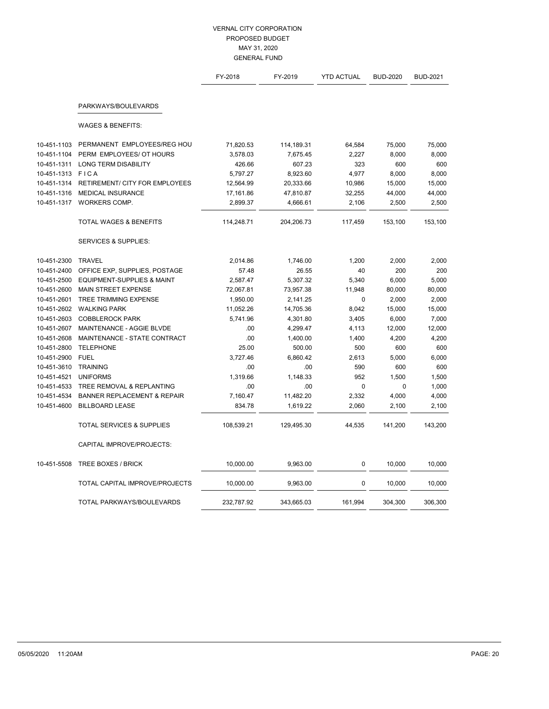|             |                                        | FY-2018    | FY-2019    | <b>YTD ACTUAL</b> | <b>BUD-2020</b> | <b>BUD-2021</b> |
|-------------|----------------------------------------|------------|------------|-------------------|-----------------|-----------------|
|             | PARKWAYS/BOULEVARDS                    |            |            |                   |                 |                 |
|             | <b>WAGES &amp; BENEFITS:</b>           |            |            |                   |                 |                 |
| 10-451-1103 | PERMANENT EMPLOYEES/REG HOU            | 71,820.53  | 114,189.31 | 64,584            | 75,000          | 75,000          |
| 10-451-1104 | PERM EMPLOYEES/ OT HOURS               | 3,578.03   | 7,675.45   | 2,227             | 8,000           | 8,000           |
| 10-451-1311 | <b>LONG TERM DISABILITY</b>            | 426.66     | 607.23     | 323               | 600             | 600             |
| 10-451-1313 | <b>FICA</b>                            | 5,797.27   | 8,923.60   | 4,977             | 8,000           | 8,000           |
| 10-451-1314 | <b>RETIREMENT/ CITY FOR EMPLOYEES</b>  | 12,564.99  | 20,333.66  | 10,986            | 15,000          | 15,000          |
| 10-451-1316 | <b>MEDICAL INSURANCE</b>               | 17,161.86  | 47,810.87  | 32,255            | 44,000          | 44,000          |
| 10-451-1317 | WORKERS COMP.                          | 2,899.37   | 4,666.61   | 2,106             | 2,500           | 2,500           |
|             | <b>TOTAL WAGES &amp; BENEFITS</b>      | 114,248.71 | 204,206.73 | 117,459           | 153,100         | 153,100         |
|             | <b>SERVICES &amp; SUPPLIES:</b>        |            |            |                   |                 |                 |
| 10-451-2300 | <b>TRAVEL</b>                          | 2,014.86   | 1,746.00   | 1,200             | 2,000           | 2,000           |
| 10-451-2400 | OFFICE EXP, SUPPLIES, POSTAGE          | 57.48      | 26.55      | 40                | 200             | 200             |
| 10-451-2500 | <b>EQUIPMENT-SUPPLIES &amp; MAINT</b>  | 2,587.47   | 5,307.32   | 5,340             | 6,000           | 5,000           |
| 10-451-2600 | <b>MAIN STREET EXPENSE</b>             | 72,067.81  | 73,957.38  | 11,948            | 80,000          | 80,000          |
| 10-451-2601 | <b>TREE TRIMMING EXPENSE</b>           | 1,950.00   | 2,141.25   | $\mathbf 0$       | 2,000           | 2,000           |
| 10-451-2602 | <b>WALKING PARK</b>                    | 11,052.26  | 14,705.36  | 8,042             | 15,000          | 15,000          |
| 10-451-2603 | <b>COBBLEROCK PARK</b>                 | 5,741.96   | 4,301.80   | 3,405             | 6,000           | 7,000           |
| 10-451-2607 | MAINTENANCE - AGGIE BLVDE              | .00        | 4,299.47   | 4,113             | 12,000          | 12,000          |
| 10-451-2608 | MAINTENANCE - STATE CONTRACT           | .00        | 1,400.00   | 1,400             | 4,200           | 4,200           |
| 10-451-2800 | <b>TELEPHONE</b>                       | 25.00      | 500.00     | 500               | 600             | 600             |
| 10-451-2900 | <b>FUEL</b>                            | 3,727.46   | 6,860.42   | 2,613             | 5,000           | 6,000           |
| 10-451-3610 | <b>TRAINING</b>                        | .00        | .00        | 590               | 600             | 600             |
| 10-451-4521 | <b>UNIFORMS</b>                        | 1,319.66   | 1,148.33   | 952               | 1,500           | 1,500           |
| 10-451-4533 | TREE REMOVAL & REPLANTING              | .00        | .00        | $\mathbf{0}$      | $\mathbf 0$     | 1,000           |
| 10-451-4534 | <b>BANNER REPLACEMENT &amp; REPAIR</b> | 7,160.47   | 11,482.20  | 2,332             | 4,000           | 4,000           |
| 10-451-4600 | <b>BILLBOARD LEASE</b>                 | 834.78     | 1,619.22   | 2,060             | 2,100           | 2,100           |
|             | <b>TOTAL SERVICES &amp; SUPPLIES</b>   | 108,539.21 | 129,495.30 | 44,535            | 141,200         | 143,200         |
|             | CAPITAL IMPROVE/PROJECTS:              |            |            |                   |                 |                 |
| 10-451-5508 | TREE BOXES / BRICK                     | 10,000.00  | 9,963.00   | 0                 | 10,000          | 10,000          |
|             | TOTAL CAPITAL IMPROVE/PROJECTS         | 10,000.00  | 9,963.00   | $\mathbf 0$       | 10,000          | 10,000          |
|             | TOTAL PARKWAYS/BOULEVARDS              | 232,787.92 | 343,665.03 | 161,994           | 304,300         | 306,300         |
|             |                                        |            |            |                   |                 |                 |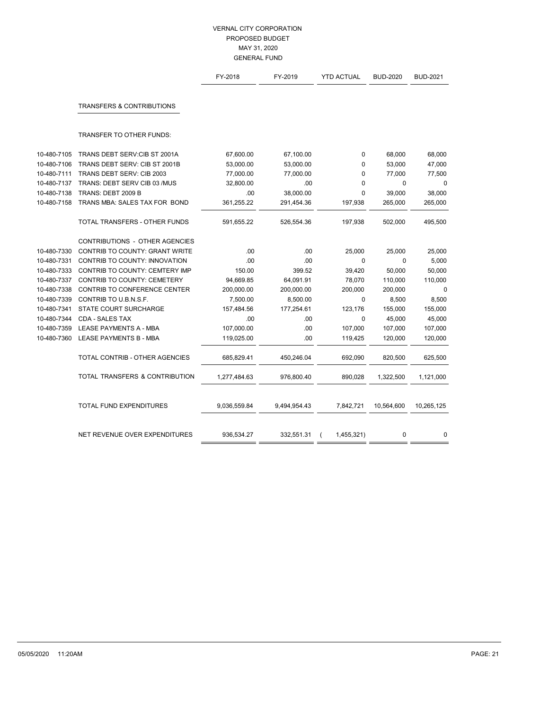|             |                                       | FY-2018      | FY-2019      | <b>YTD ACTUAL</b> | <b>BUD-2020</b> | <b>BUD-2021</b> |
|-------------|---------------------------------------|--------------|--------------|-------------------|-----------------|-----------------|
|             | <b>TRANSFERS &amp; CONTRIBUTIONS</b>  |              |              |                   |                 |                 |
|             | TRANSFER TO OTHER FUNDS:              |              |              |                   |                 |                 |
| 10-480-7105 | TRANS DEBT SERV: CIB ST 2001A         | 67,600.00    | 67,100.00    | $\mathbf 0$       | 68,000          | 68,000          |
| 10-480-7106 | TRANS DEBT SERV: CIB ST 2001B         | 53,000.00    | 53,000.00    | $\mathbf 0$       | 53,000          | 47,000          |
| 10-480-7111 | TRANS DEBT SERV: CIB 2003             | 77,000.00    | 77,000.00    | $\mathbf 0$       | 77,000          | 77,500          |
| 10-480-7137 | TRANS: DEBT SERV CIB 03 /MUS          | 32,800.00    | .00          | $\mathbf{0}$      | $\mathbf 0$     | $\mathbf 0$     |
| 10-480-7138 | TRANS: DEBT 2009 B                    | .00          | 38,000.00    | $\mathbf{0}$      | 39,000          | 38,000          |
| 10-480-7158 | TRANS MBA: SALES TAX FOR BOND         | 361,255.22   | 291,454.36   | 197,938           | 265,000         | 265,000         |
|             | TOTAL TRANSFERS - OTHER FUNDS         | 591,655.22   | 526,554.36   | 197,938           | 502,000         | 495,500         |
|             | <b>CONTRIBUTIONS - OTHER AGENCIES</b> |              |              |                   |                 |                 |
| 10-480-7330 | CONTRIB TO COUNTY: GRANT WRITE        | .00.         | .00          | 25,000            | 25,000          | 25,000          |
| 10-480-7331 | CONTRIB TO COUNTY: INNOVATION         | .00          | .00          | $\mathbf{0}$      | $\Omega$        | 5,000           |
| 10-480-7333 | CONTRIB TO COUNTY: CEMTERY IMP        | 150.00       | 399.52       | 39,420            | 50,000          | 50,000          |
| 10-480-7337 | <b>CONTRIB TO COUNTY: CEMETERY</b>    | 94,669.85    | 64,091.91    | 78,070            | 110,000         | 110,000         |
| 10-480-7338 | CONTRIB TO CONFERENCE CENTER          | 200,000.00   | 200,000.00   | 200,000           | 200,000         | 0               |
| 10-480-7339 | CONTRIB TO U.B.N.S.F.                 | 7,500.00     | 8,500.00     | 0                 | 8,500           | 8,500           |
| 10-480-7341 | <b>STATE COURT SURCHARGE</b>          | 157,484.56   | 177,254.61   | 123,176           | 155,000         | 155,000         |
| 10-480-7344 | <b>CDA - SALES TAX</b>                | .00          | .00.         | $\mathbf 0$       | 45,000          | 45,000          |
| 10-480-7359 | LEASE PAYMENTS A - MBA                | 107,000.00   | .00          | 107,000           | 107,000         | 107,000         |
| 10-480-7360 | LEASE PAYMENTS B - MBA                | 119,025.00   | .00.         | 119,425           | 120,000         | 120,000         |
|             | TOTAL CONTRIB - OTHER AGENCIES        | 685,829.41   | 450,246.04   | 692,090           | 820,500         | 625,500         |
|             | TOTAL TRANSFERS & CONTRIBUTION        | 1,277,484.63 | 976,800.40   | 890,028           | 1,322,500       | 1,121,000       |
|             | TOTAL FUND EXPENDITURES               | 9,036,559.84 | 9,494,954.43 | 7,842,721         | 10,564,600      | 10,265,125      |
|             |                                       |              |              |                   |                 |                 |
|             | NET REVENUE OVER EXPENDITURES         | 936,534.27   | 332,551.31   | 1,455,321)        | 0               | 0               |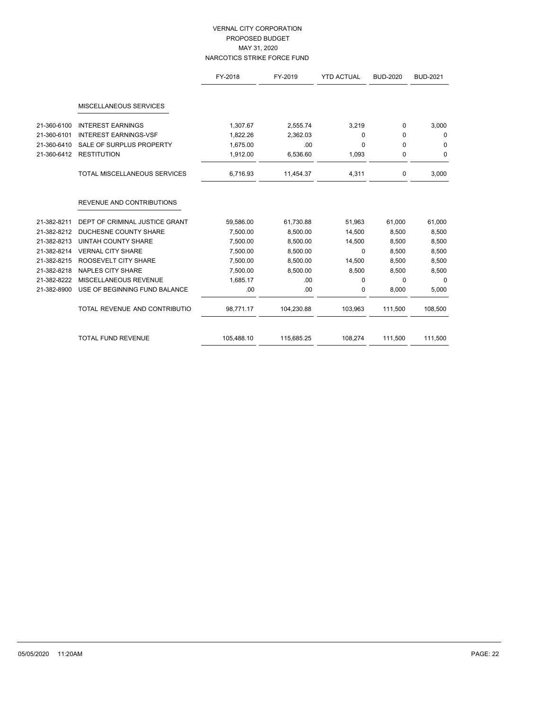# VERNAL CITY CORPORATION PROPOSED BUDGET MAY 31, 2020 NARCOTICS STRIKE FORCE FUND

|             |                                     | FY-2018    | FY-2019    | <b>YTD ACTUAL</b> | <b>BUD-2020</b> | <b>BUD-2021</b> |
|-------------|-------------------------------------|------------|------------|-------------------|-----------------|-----------------|
|             |                                     |            |            |                   |                 |                 |
|             | MISCELLANEOUS SERVICES              |            |            |                   |                 |                 |
| 21-360-6100 | <b>INTEREST EARNINGS</b>            | 1,307.67   | 2,555.74   | 3,219             | 0               | 3,000           |
| 21-360-6101 | <b>INTEREST EARNINGS-VSF</b>        | 1,822.26   | 2,362.03   | $\mathbf 0$       | 0               | $\mathbf 0$     |
| 21-360-6410 | SALE OF SURPLUS PROPERTY            | 1,675.00   | .00        | $\Omega$          | $\Omega$        | 0               |
| 21-360-6412 | <b>RESTITUTION</b>                  | 1,912.00   | 6,536.60   | 1,093             | 0               | 0               |
|             | <b>TOTAL MISCELLANEOUS SERVICES</b> | 6,716.93   | 11,454.37  | 4,311             | 0               | 3,000           |
|             | <b>REVENUE AND CONTRIBUTIONS</b>    |            |            |                   |                 |                 |
| 21-382-8211 | DEPT OF CRIMINAL JUSTICE GRANT      | 59,586.00  | 61,730.88  | 51,963            | 61,000          | 61,000          |
| 21-382-8212 | DUCHESNE COUNTY SHARE               | 7,500.00   | 8,500.00   | 14,500            | 8,500           | 8,500           |
| 21-382-8213 | <b>UINTAH COUNTY SHARE</b>          | 7,500.00   | 8,500.00   | 14,500            | 8,500           | 8,500           |
| 21-382-8214 | <b>VERNAL CITY SHARE</b>            | 7,500.00   | 8,500.00   | $\mathbf 0$       | 8,500           | 8,500           |
| 21-382-8215 | ROOSEVELT CITY SHARE                | 7,500.00   | 8,500.00   | 14,500            | 8,500           | 8,500           |
| 21-382-8218 | <b>NAPLES CITY SHARE</b>            | 7,500.00   | 8,500.00   | 8,500             | 8,500           | 8,500           |
| 21-382-8222 | MISCELLANEOUS REVENUE               | 1,685.17   | .00        | $\mathbf 0$       | $\Omega$        | $\Omega$        |
| 21-382-8900 | USE OF BEGINNING FUND BALANCE       | .00        | .00        | 0                 | 8,000           | 5,000           |
|             | TOTAL REVENUE AND CONTRIBUTIO       | 98,771.17  | 104,230.88 | 103,963           | 111,500         | 108,500         |
|             | <b>TOTAL FUND REVENUE</b>           | 105,488.10 | 115,685.25 | 108,274           | 111,500         | 111,500         |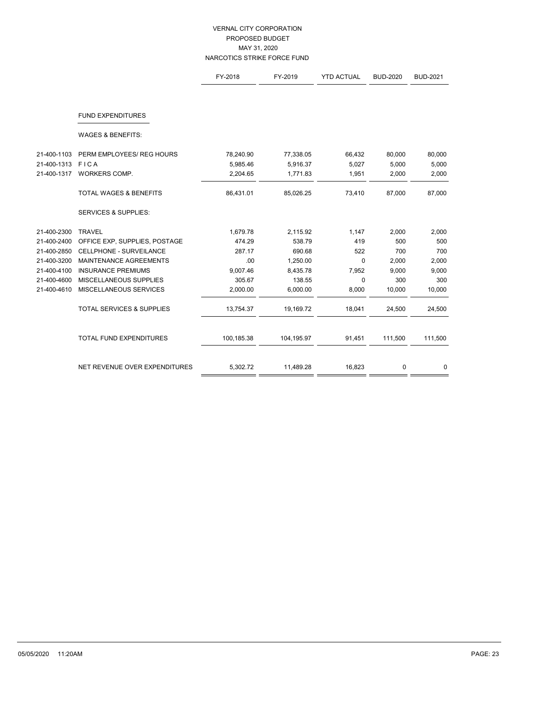# VERNAL CITY CORPORATION PROPOSED BUDGET MAY 31, 2020 NARCOTICS STRIKE FORCE FUND

|             |                                      | FY-2018    | FY-2019    | <b>YTD ACTUAL</b> | <b>BUD-2020</b> | <b>BUD-2021</b> |
|-------------|--------------------------------------|------------|------------|-------------------|-----------------|-----------------|
|             |                                      |            |            |                   |                 |                 |
|             | <b>FUND EXPENDITURES</b>             |            |            |                   |                 |                 |
|             | <b>WAGES &amp; BENEFITS:</b>         |            |            |                   |                 |                 |
| 21-400-1103 | PERM EMPLOYEES/ REG HOURS            | 78,240.90  | 77,338.05  | 66,432            | 80,000          | 80,000          |
| 21-400-1313 | FICA                                 | 5,985.46   | 5,916.37   | 5,027             | 5,000           | 5,000           |
| 21-400-1317 | WORKERS COMP.                        | 2,204.65   | 1,771.83   | 1,951             | 2,000           | 2,000           |
|             | <b>TOTAL WAGES &amp; BENEFITS</b>    | 86,431.01  | 85,026.25  | 73,410            | 87,000          | 87,000          |
|             | <b>SERVICES &amp; SUPPLIES:</b>      |            |            |                   |                 |                 |
| 21-400-2300 | <b>TRAVEL</b>                        | 1,679.78   | 2,115.92   | 1,147             | 2,000           | 2,000           |
| 21-400-2400 | OFFICE EXP, SUPPLIES, POSTAGE        | 474.29     | 538.79     | 419               | 500             | 500             |
| 21-400-2850 | CELLPHONE - SURVEILANCE              | 287.17     | 690.68     | 522               | 700             | 700             |
| 21-400-3200 | MAINTENANCE AGREEMENTS               | .00        | 1,250.00   | 0                 | 2,000           | 2,000           |
| 21-400-4100 | <b>INSURANCE PREMIUMS</b>            | 9,007.46   | 8,435.78   | 7,952             | 9,000           | 9,000           |
| 21-400-4600 | MISCELLANEOUS SUPPLIES               | 305.67     | 138.55     | 0                 | 300             | 300             |
| 21-400-4610 | MISCELLANEOUS SERVICES               | 2,000.00   | 6,000.00   | 8,000             | 10,000          | 10,000          |
|             | <b>TOTAL SERVICES &amp; SUPPLIES</b> | 13,754.37  | 19,169.72  | 18,041            | 24,500          | 24,500          |
|             | <b>TOTAL FUND EXPENDITURES</b>       | 100,185.38 | 104,195.97 | 91,451            | 111,500         | 111,500         |
|             | NET REVENUE OVER EXPENDITURES        | 5,302.72   | 11,489.28  | 16,823            | 0               | 0               |
|             |                                      |            |            |                   |                 |                 |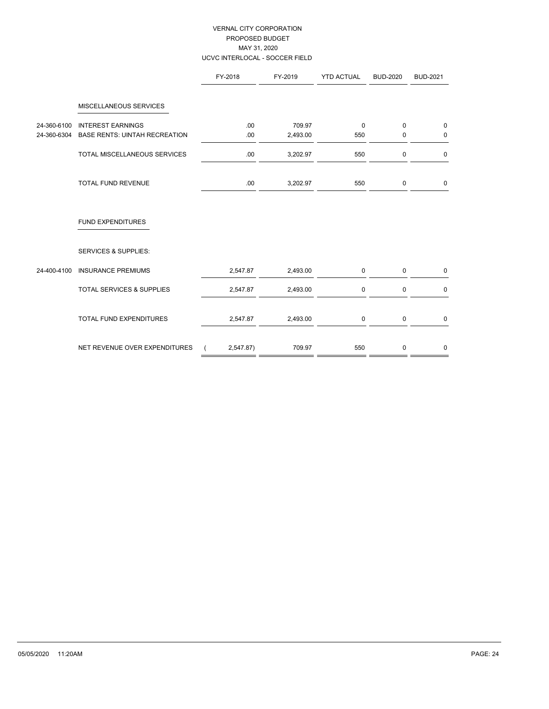# VERNAL CITY CORPORATION PROPOSED BUDGET MAY 31, 2020 UCVC INTERLOCAL - SOCCER FIELD

|             |                                      | FY-2018   | FY-2019  | <b>YTD ACTUAL</b> | <b>BUD-2020</b> | <b>BUD-2021</b> |
|-------------|--------------------------------------|-----------|----------|-------------------|-----------------|-----------------|
|             | MISCELLANEOUS SERVICES               |           |          |                   |                 |                 |
| 24-360-6100 | <b>INTEREST EARNINGS</b>             | .00.      | 709.97   | $\mathbf{0}$      | $\Omega$        | $\mathbf 0$     |
| 24-360-6304 | <b>BASE RENTS: UINTAH RECREATION</b> | .00.      | 2,493.00 | 550               | 0               | $\mathbf 0$     |
|             | TOTAL MISCELLANEOUS SERVICES         | .00.      | 3,202.97 | 550               | $\mathbf 0$     | $\mathbf 0$     |
|             | TOTAL FUND REVENUE                   | .00.      | 3,202.97 | 550               | 0               | $\mathbf 0$     |
|             | <b>FUND EXPENDITURES</b>             |           |          |                   |                 |                 |
|             | <b>SERVICES &amp; SUPPLIES:</b>      |           |          |                   |                 |                 |
| 24-400-4100 | <b>INSURANCE PREMIUMS</b>            | 2,547.87  | 2,493.00 | $\mathbf 0$       | $\mathbf 0$     | $\mathbf 0$     |
|             | <b>TOTAL SERVICES &amp; SUPPLIES</b> | 2,547.87  | 2,493.00 | $\mathbf 0$       | $\mathbf 0$     | 0               |
|             | TOTAL FUND EXPENDITURES              | 2,547.87  | 2,493.00 | $\mathbf 0$       | $\mathsf 0$     | $\mathbf 0$     |
|             | NET REVENUE OVER EXPENDITURES        | 2,547.87) | 709.97   | 550               | $\mathbf 0$     | 0               |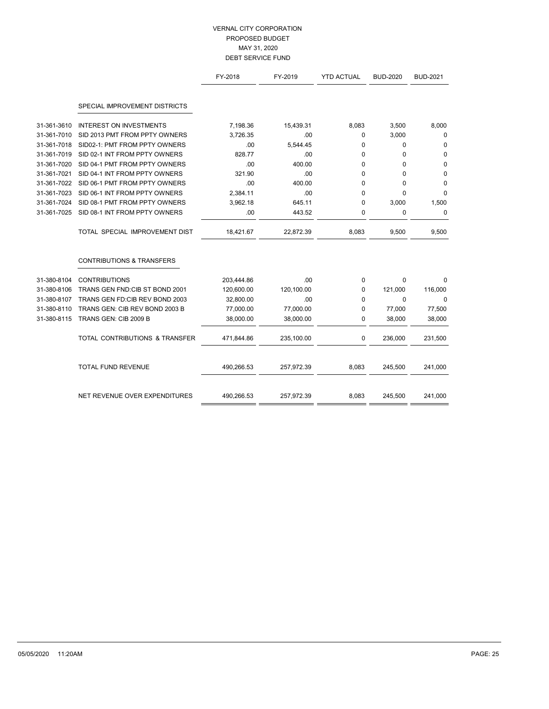# VERNAL CITY CORPORATION PROPOSED BUDGET MAY 31, 2020 DEBT SERVICE FUND

|             |                                      | FY-2018    | FY-2019    | <b>YTD ACTUAL</b> | <b>BUD-2020</b> | <b>BUD-2021</b> |
|-------------|--------------------------------------|------------|------------|-------------------|-----------------|-----------------|
|             | SPECIAL IMPROVEMENT DISTRICTS        |            |            |                   |                 |                 |
| 31-361-3610 | <b>INTEREST ON INVESTMENTS</b>       | 7,198.36   | 15,439.31  | 8,083             | 3,500           | 8,000           |
| 31-361-7010 | SID 2013 PMT FROM PPTY OWNERS        | 3,726.35   | .00        | 0                 | 3,000           | 0               |
| 31-361-7018 | SID02-1: PMT FROM PPTY OWNERS        | .00        | 5,544.45   | 0                 | $\mathbf{0}$    | $\mathbf 0$     |
| 31-361-7019 | SID 02-1 INT FROM PPTY OWNERS        | 828.77     | .00        | 0                 | $\mathbf 0$     | 0               |
| 31-361-7020 | SID 04-1 PMT FROM PPTY OWNERS        | .00        | 400.00     | 0                 | 0               | 0               |
| 31-361-7021 | SID 04-1 INT FROM PPTY OWNERS        | 321.90     | .00        | 0                 | $\Omega$        | 0               |
| 31-361-7022 | SID 06-1 PMT FROM PPTY OWNERS        | .00        | 400.00     | 0                 | $\Omega$        | 0               |
| 31-361-7023 | SID 06-1 INT FROM PPTY OWNERS        | 2,384.11   | .00.       | $\Omega$          | $\Omega$        | $\mathbf 0$     |
| 31-361-7024 | SID 08-1 PMT FROM PPTY OWNERS        | 3,962.18   | 645.11     | 0                 | 3,000           | 1,500           |
| 31-361-7025 | SID 08-1 INT FROM PPTY OWNERS        | .00        | 443.52     | 0                 | $\mathbf 0$     | 0               |
|             | TOTAL SPECIAL IMPROVEMENT DIST       | 18,421.67  | 22,872.39  | 8,083             | 9,500           | 9,500           |
|             | <b>CONTRIBUTIONS &amp; TRANSFERS</b> |            |            |                   |                 |                 |
| 31-380-8104 | <b>CONTRIBUTIONS</b>                 | 203,444.86 | .00        | 0                 | $\Omega$        | 0               |
| 31-380-8106 | TRANS GEN FND: CIB ST BOND 2001      | 120,600.00 | 120,100.00 | $\mathbf 0$       | 121,000         | 116,000         |
| 31-380-8107 | TRANS GEN FD: CIB REV BOND 2003      | 32,800.00  | .00        | 0                 | $\Omega$        | $\Omega$        |
| 31-380-8110 | TRANS GEN: CIB REV BOND 2003 B       | 77,000.00  | 77,000.00  | 0                 | 77,000          | 77,500          |
| 31-380-8115 | TRANS GEN: CIB 2009 B                | 38,000.00  | 38,000.00  | 0                 | 38,000          | 38,000          |
|             | TOTAL CONTRIBUTIONS & TRANSFER       | 471,844.86 | 235,100.00 | 0                 | 236,000         | 231,500         |
|             | <b>TOTAL FUND REVENUE</b>            | 490,266.53 | 257,972.39 | 8,083             | 245,500         | 241,000         |
|             | NET REVENUE OVER EXPENDITURES        | 490,266.53 | 257,972.39 | 8,083             | 245,500         | 241,000         |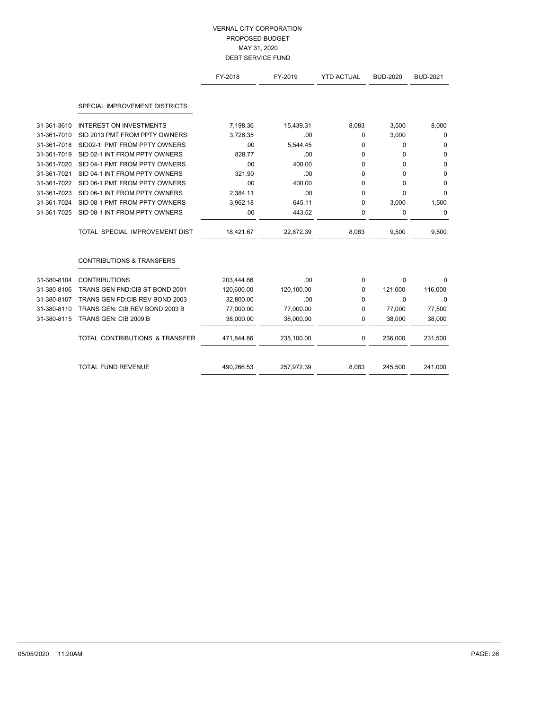# VERNAL CITY CORPORATION PROPOSED BUDGET MAY 31, 2020 DEBT SERVICE FUND

|             |                                      | FY-2018    | FY-2019    | <b>YTD ACTUAL</b> | <b>BUD-2020</b> | <b>BUD-2021</b> |
|-------------|--------------------------------------|------------|------------|-------------------|-----------------|-----------------|
|             | SPECIAL IMPROVEMENT DISTRICTS        |            |            |                   |                 |                 |
| 31-361-3610 | <b>INTEREST ON INVESTMENTS</b>       | 7,198.36   | 15,439.31  | 8,083             | 3,500           | 8,000           |
| 31-361-7010 | SID 2013 PMT FROM PPTY OWNERS        | 3,726.35   | .00.       | 0                 | 3,000           | 0               |
| 31-361-7018 | SID02-1: PMT FROM PPTY OWNERS        | .00        | 5,544.45   | 0                 | $\mathbf 0$     | 0               |
| 31-361-7019 | SID 02-1 INT FROM PPTY OWNERS        | 828.77     | .00        | 0                 | $\Omega$        | 0               |
| 31-361-7020 | SID 04-1 PMT FROM PPTY OWNERS        | .00        | 400.00     | 0                 | $\Omega$        | $\Omega$        |
| 31-361-7021 | SID 04-1 INT FROM PPTY OWNERS        | 321.90     | .00        | $\Omega$          | $\Omega$        | 0               |
| 31-361-7022 | SID 06-1 PMT FROM PPTY OWNERS        | .00        | 400.00     | 0                 | $\Omega$        | 0               |
| 31-361-7023 | SID 06-1 INT FROM PPTY OWNERS        | 2.384.11   | .00        | 0                 | $\Omega$        | $\mathbf 0$     |
| 31-361-7024 | SID 08-1 PMT FROM PPTY OWNERS        | 3,962.18   | 645.11     | $\Omega$          | 3,000           | 1,500           |
| 31-361-7025 | SID 08-1 INT FROM PPTY OWNERS        | .00        | 443.52     | 0                 | $\mathbf 0$     | 0               |
|             | TOTAL SPECIAL IMPROVEMENT DIST       | 18,421.67  | 22,872.39  | 8,083             | 9,500           | 9,500           |
|             | <b>CONTRIBUTIONS &amp; TRANSFERS</b> |            |            |                   |                 |                 |
| 31-380-8104 | <b>CONTRIBUTIONS</b>                 | 203,444.86 | .00        | $\mathbf 0$       | $\Omega$        | 0               |
| 31-380-8106 | TRANS GEN FND: CIB ST BOND 2001      | 120,600.00 | 120,100.00 | $\mathbf 0$       | 121,000         | 116,000         |
| 31-380-8107 | TRANS GEN FD: CIB REV BOND 2003      | 32,800.00  | .00        | $\Omega$          | $\Omega$        | 0               |
| 31-380-8110 | TRANS GEN: CIB REV BOND 2003 B       | 77,000.00  | 77,000.00  | 0                 | 77,000          | 77,500          |
| 31-380-8115 | TRANS GEN: CIB 2009 B                | 38,000.00  | 38,000.00  | $\mathbf 0$       | 38,000          | 38,000          |
|             | TOTAL CONTRIBUTIONS & TRANSFER       | 471,844.86 | 235,100.00 | $\mathbf 0$       | 236,000         | 231,500         |
|             | TOTAL FUND REVENUE                   | 490,266.53 | 257,972.39 | 8,083             | 245,500         | 241,000         |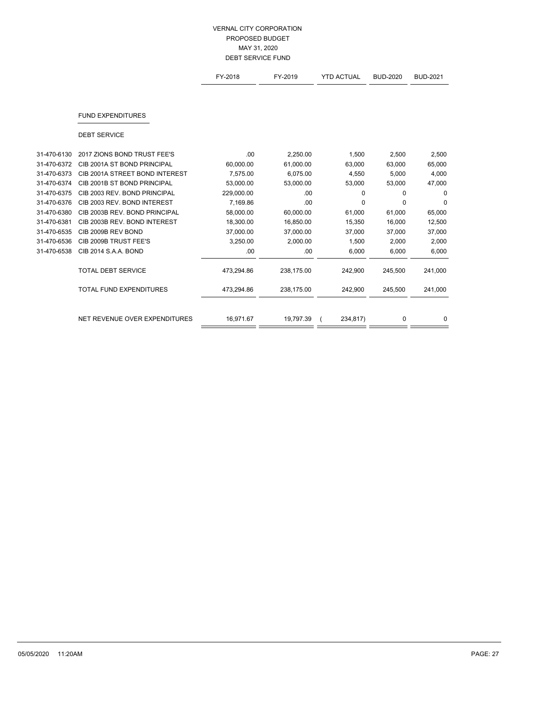## VERNAL CITY CORPORATION PROPOSED BUDGET MAY 31, 2020 DEBT SERVICE FUND

|             |                                | FY-2018    | FY-2019    | <b>YTD ACTUAL</b> | <b>BUD-2020</b> | <b>BUD-2021</b> |
|-------------|--------------------------------|------------|------------|-------------------|-----------------|-----------------|
|             |                                |            |            |                   |                 |                 |
|             | <b>FUND EXPENDITURES</b>       |            |            |                   |                 |                 |
|             | <b>DEBT SERVICE</b>            |            |            |                   |                 |                 |
| 31-470-6130 | 2017 ZIONS BOND TRUST FEE'S    | .00        | 2,250.00   | 1,500             | 2,500           | 2,500           |
| 31-470-6372 | CIB 2001A ST BOND PRINCIPAL    | 60,000.00  | 61,000.00  | 63,000            | 63,000          | 65,000          |
| 31-470-6373 | CIB 2001A STREET BOND INTEREST | 7,575.00   | 6,075.00   | 4,550             | 5,000           | 4,000           |
| 31-470-6374 | CIB 2001B ST BOND PRINCIPAL    | 53,000.00  | 53,000.00  | 53,000            | 53,000          | 47,000          |
| 31-470-6375 | CIB 2003 REV. BOND PRINCIPAL   | 229,000.00 | .00        | $\mathbf 0$       | $\Omega$        | 0               |
| 31-470-6376 | CIB 2003 REV. BOND INTEREST    | 7,169.86   | .00        | 0                 | 0               | 0               |
| 31-470-6380 | CIB 2003B REV. BOND PRINCIPAL  | 58,000.00  | 60,000.00  | 61,000            | 61,000          | 65,000          |
| 31-470-6381 | CIB 2003B REV. BOND INTEREST   | 18,300.00  | 16,850.00  | 15,350            | 16,000          | 12,500          |
| 31-470-6535 | CIB 2009B REV BOND             | 37,000.00  | 37,000.00  | 37,000            | 37,000          | 37,000          |
| 31-470-6536 | CIB 2009B TRUST FEE'S          | 3,250.00   | 2,000.00   | 1,500             | 2,000           | 2,000           |
| 31-470-6538 | CIB 2014 S.A.A. BOND           | .00        | .00.       | 6,000             | 6,000           | 6,000           |
|             | <b>TOTAL DEBT SERVICE</b>      | 473,294.86 | 238,175.00 | 242.900           | 245,500         | 241,000         |
|             | <b>TOTAL FUND EXPENDITURES</b> | 473,294.86 | 238,175.00 | 242,900           | 245,500         | 241,000         |
|             |                                |            |            |                   |                 |                 |
|             | NET REVENUE OVER EXPENDITURES  | 16,971.67  | 19,797.39  | 234,817)          | $\mathbf 0$     | 0               |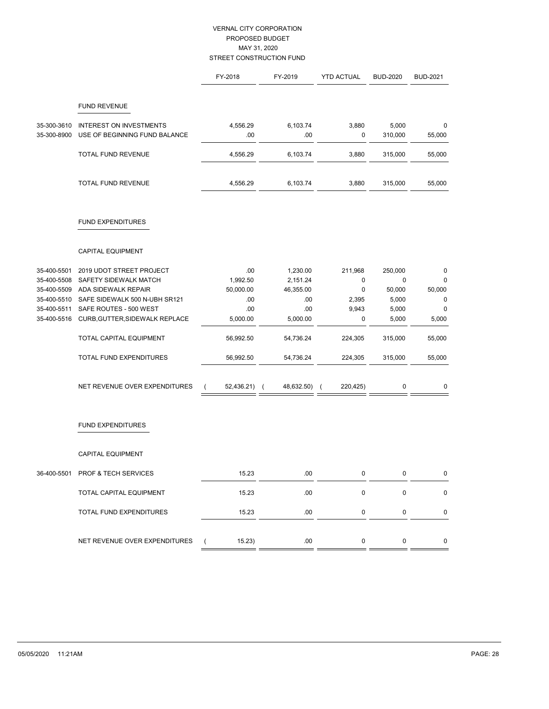# VERNAL CITY CORPORATION PROPOSED BUDGET MAY 31, 2020 STREET CONSTRUCTION FUND

|             |                                  | FY-2018                | FY-2019                      | <b>YTD ACTUAL</b>      | <b>BUD-2020</b> | <b>BUD-2021</b> |
|-------------|----------------------------------|------------------------|------------------------------|------------------------|-----------------|-----------------|
|             | <b>FUND REVENUE</b>              |                        |                              |                        |                 |                 |
| 35-300-3610 | INTEREST ON INVESTMENTS          | 4,556.29               | 6,103.74                     | 3,880                  | 5,000           | 0               |
| 35-300-8900 | USE OF BEGINNING FUND BALANCE    | .00                    | .00                          | 0                      | 310,000         | 55,000          |
|             | TOTAL FUND REVENUE               | 4,556.29               | 6,103.74                     | 3,880                  | 315,000         | 55,000          |
|             | TOTAL FUND REVENUE               | 4,556.29               | 6,103.74                     | 3,880                  | 315,000         | 55,000          |
|             | <b>FUND EXPENDITURES</b>         |                        |                              |                        |                 |                 |
|             | CAPITAL EQUIPMENT                |                        |                              |                        |                 |                 |
| 35-400-5501 | 2019 UDOT STREET PROJECT         | .00                    | 1,230.00                     | 211,968                | 250,000         | 0               |
| 35-400-5508 | SAFETY SIDEWALK MATCH            | 1,992.50               | 2,151.24                     | 0                      | 0               | 0               |
| 35-400-5509 | <b>ADA SIDEWALK REPAIR</b>       | 50,000.00              | 46,355.00                    | 0                      | 50,000          | 50,000          |
| 35-400-5510 | SAFE SIDEWALK 500 N-UBH SR121    | .00                    | .00                          | 2,395                  | 5,000           | $\mathbf 0$     |
| 35-400-5511 | SAFE ROUTES - 500 WEST           | .00                    | .00                          | 9,943                  | 5,000           | $\mathbf 0$     |
| 35-400-5516 | CURB, GUTTER, SIDEWALK REPLACE   | 5,000.00               | 5,000.00                     | 0                      | 5,000           | 5,000           |
|             | TOTAL CAPITAL EQUIPMENT          | 56,992.50              | 54,736.24                    | 224,305                | 315,000         | 55,000          |
|             | TOTAL FUND EXPENDITURES          | 56,992.50              | 54,736.24                    | 224,305                | 315,000         | 55,000          |
|             | NET REVENUE OVER EXPENDITURES    | 52,436.21)<br>$\left($ | 48,632.50)<br>$\overline{ }$ | 220,425)<br>$\sqrt{ }$ | 0               | 0               |
|             | <b>FUND EXPENDITURES</b>         |                        |                              |                        |                 |                 |
|             | CAPITAL EQUIPMENT                |                        |                              |                        |                 |                 |
|             | 36-400-5501 PROF & TECH SERVICES | 15.23                  | .00                          | 0                      | 0               | 0               |
|             | TOTAL CAPITAL EQUIPMENT          | 15.23                  | .00                          | $\pmb{0}$              | 0               | $\pmb{0}$       |
|             | TOTAL FUND EXPENDITURES          | 15.23                  | .00                          | 0                      | 0               | $\mathbf 0$     |
|             | NET REVENUE OVER EXPENDITURES    | 15.23)                 | .00.                         | 0                      | $\mathsf 0$     | $\mathbf 0$     |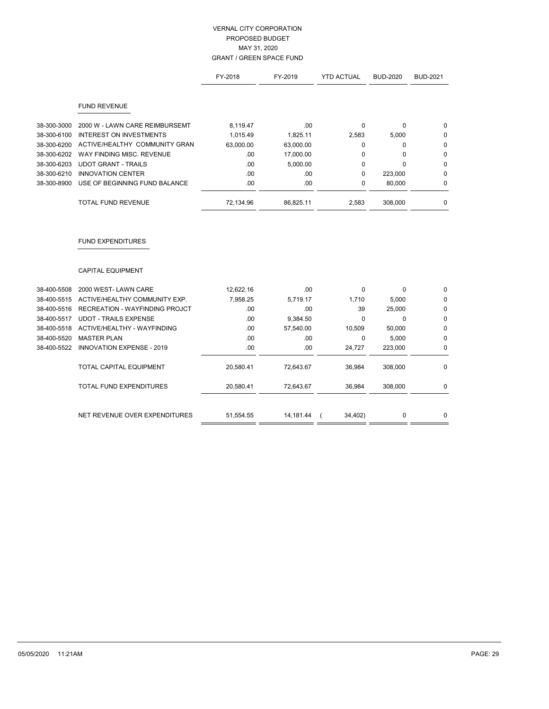## VERNAL CITY CORPORATION PROPOSED BUDGET MAY 31, 2020 GRANT / GREEN SPACE FUND

|             |                                       | FY-2018   | FY-2019   | <b>YTD ACTUAL</b> | <b>BUD-2020</b> | <b>BUD-2021</b> |
|-------------|---------------------------------------|-----------|-----------|-------------------|-----------------|-----------------|
|             | <b>FUND REVENUE</b>                   |           |           |                   |                 |                 |
| 38-300-3000 | 2000 W - LAWN CARE REIMBURSEMT        | 8,119.47  | .00       | $\Omega$          | $\Omega$        | 0               |
| 38-300-6100 | <b>INTEREST ON INVESTMENTS</b>        | 1,015.49  | 1,825.11  | 2,583             | 5,000           | 0               |
| 38-300-6200 | ACTIVE/HEALTHY COMMUNITY GRAN         | 63,000.00 | 63,000.00 | $\Omega$          | 0               | $\mathbf 0$     |
| 38-300-6202 | WAY FINDING MISC. REVENUE             | .00       | 17,000.00 | 0                 | 0               | $\mathbf 0$     |
| 38-300-6203 | <b>UDOT GRANT - TRAILS</b>            | .00       | 5,000.00  | 0                 | $\Omega$        | $\mathbf 0$     |
| 38-300-6210 | <b>INNOVATION CENTER</b>              | .00       | .00       | $\Omega$          | 223,000         | $\mathbf{0}$    |
| 38-300-8900 | USE OF BEGINNING FUND BALANCE         | .00       | .00       | 0                 | 80,000          | $\mathbf 0$     |
|             | <b>TOTAL FUND REVENUE</b>             | 72,134.96 | 86,825.11 | 2,583             | 308,000         | $\mathbf 0$     |
|             | <b>FUND EXPENDITURES</b>              |           |           |                   |                 |                 |
|             | <b>CAPITAL EQUIPMENT</b>              |           |           |                   |                 |                 |
| 38-400-5508 | 2000 WEST-LAWN CARE                   | 12,622.16 | .00       | 0                 | 0               | $\mathbf 0$     |
| 38-400-5515 | ACTIVE/HEALTHY COMMUNITY EXP.         | 7,958.25  | 5,719.17  | 1,710             | 5,000           | 0               |
| 38-400-5516 | <b>RECREATION - WAYFINDING PROJCT</b> | .00       | .00       | 39                | 25,000          | $\mathbf 0$     |
| 38-400-5517 | <b>UDOT - TRAILS EXPENSE</b>          | .00       | 9,384.50  | $\Omega$          | $\Omega$        | $\mathbf 0$     |
| 38-400-5518 | ACTIVE/HEALTHY - WAYFINDING           | .00       | 57,540.00 | 10,509            | 50,000          | 0               |
| 38-400-5520 | <b>MASTER PLAN</b>                    | .00.      | .00       | 0                 | 5,000           | $\mathbf 0$     |
| 38-400-5522 | INNOVATION EXPENSE - 2019             | .00       | .00       | 24,727            | 223,000         | 0               |
|             | TOTAL CAPITAL EQUIPMENT               | 20,580.41 | 72,643.67 | 36,984            | 308,000         | $\mathbf{0}$    |

TOTAL FUND EXPENDITURES 20,580.41 72,643.67 36,984 308,000 0

 $=$   $=$ 

NET REVENUE OVER EXPENDITURES  $\frac{51,554.55}{\qquad \qquad 14,181.44} \frac{(34,402)}{\qquad \qquad 0} \frac{0}{\qquad \qquad 0}$ 

 $=$  =

 $=$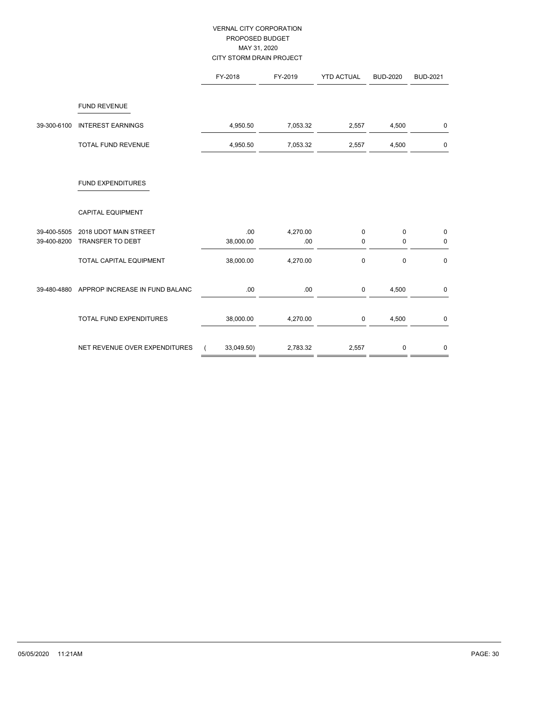# VERNAL CITY CORPORATION PROPOSED BUDGET MAY 31, 2020 CITY STORM DRAIN PROJECT

|                            |                                           | FY-2018          | FY-2019         | <b>YTD ACTUAL</b>          | <b>BUD-2020</b>  | <b>BUD-2021</b>            |
|----------------------------|-------------------------------------------|------------------|-----------------|----------------------------|------------------|----------------------------|
|                            | <b>FUND REVENUE</b>                       |                  |                 |                            |                  |                            |
| 39-300-6100                | <b>INTEREST EARNINGS</b>                  | 4,950.50         | 7,053.32        | 2,557                      | 4,500            | 0                          |
|                            | TOTAL FUND REVENUE                        | 4,950.50         | 7,053.32        | 2,557                      | 4,500            | $\mathbf 0$                |
|                            | <b>FUND EXPENDITURES</b>                  |                  |                 |                            |                  |                            |
|                            | <b>CAPITAL EQUIPMENT</b>                  |                  |                 |                            |                  |                            |
| 39-400-5505<br>39-400-8200 | 2018 UDOT MAIN STREET<br>TRANSFER TO DEBT | .00<br>38,000.00 | 4,270.00<br>.00 | $\mathsf 0$<br>$\mathbf 0$ | $\mathbf 0$<br>0 | $\mathbf 0$<br>$\mathbf 0$ |
|                            | TOTAL CAPITAL EQUIPMENT                   | 38,000.00        | 4,270.00        | $\mathbf 0$                | $\mathbf 0$      | $\mathbf 0$                |
| 39-480-4880                | APPROP INCREASE IN FUND BALANC            | .00              | .00             | $\mathsf 0$                | 4,500            | 0                          |
|                            | <b>TOTAL FUND EXPENDITURES</b>            | 38,000.00        | 4,270.00        | $\mathbf 0$                | 4,500            | $\pmb{0}$                  |
|                            | NET REVENUE OVER EXPENDITURES             | 33,049.50)       | 2,783.32        | 2,557                      | 0                | $\mathbf 0$                |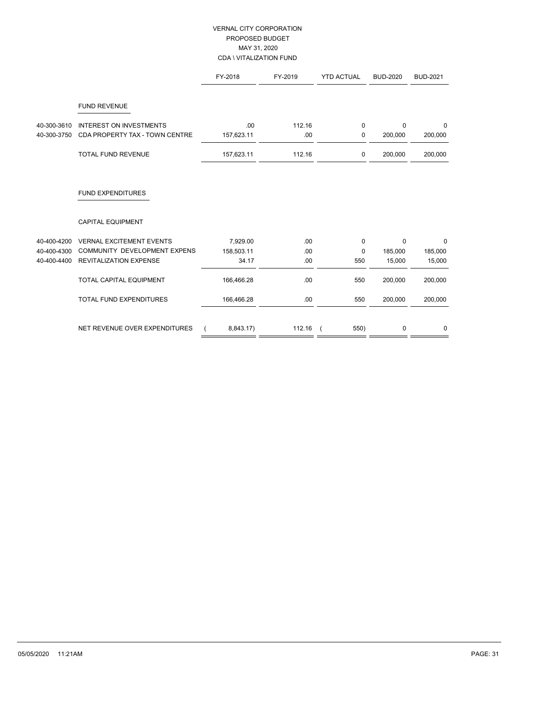# VERNAL CITY CORPORATION PROPOSED BUDGET MAY 31, 2020 CDA \ VITALIZATION FUND

|             |                                     | FY-2018    | FY-2019 | <b>YTD ACTUAL</b>  | <b>BUD-2020</b> | <b>BUD-2021</b> |
|-------------|-------------------------------------|------------|---------|--------------------|-----------------|-----------------|
|             | <b>FUND REVENUE</b>                 |            |         |                    |                 |                 |
|             |                                     |            |         |                    |                 |                 |
| 40-300-3610 | <b>INTEREST ON INVESTMENTS</b>      | .00        | 112.16  | 0                  | $\Omega$        | $\Omega$        |
| 40-300-3750 | CDA PROPERTY TAX - TOWN CENTRE      | 157,623.11 | .00     | 0                  | 200,000         | 200,000         |
|             | TOTAL FUND REVENUE                  | 157,623.11 | 112.16  | 0                  | 200,000         | 200,000         |
|             | <b>FUND EXPENDITURES</b>            |            |         |                    |                 |                 |
|             | <b>CAPITAL EQUIPMENT</b>            |            |         |                    |                 |                 |
| 40-400-4200 | <b>VERNAL EXCITEMENT EVENTS</b>     | 7,929.00   | .00     | $\mathbf 0$        | $\mathbf 0$     | $\mathbf 0$     |
| 40-400-4300 | <b>COMMUNITY DEVELOPMENT EXPENS</b> | 158,503.11 | .00     | $\mathbf{0}$       | 185,000         | 185,000         |
| 40-400-4400 | <b>REVITALIZATION EXPENSE</b>       | 34.17      | .00     | 550                | 15,000          | 15,000          |
|             | TOTAL CAPITAL EQUIPMENT             | 166,466.28 | .00     | 550                | 200,000         | 200,000         |
|             | <b>TOTAL FUND EXPENDITURES</b>      | 166,466.28 | .00.    | 550                | 200,000         | 200,000         |
|             |                                     |            |         |                    |                 |                 |
|             | NET REVENUE OVER EXPENDITURES       | 8,843.17)  | 112.16  | 550)<br>$\sqrt{ }$ | 0               | 0               |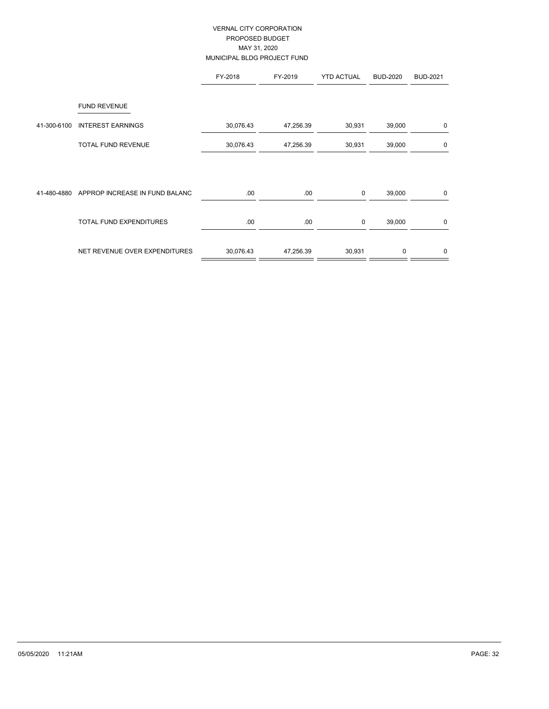# VERNAL CITY CORPORATION PROPOSED BUDGET MAY 31, 2020 MUNICIPAL BLDG PROJECT FUND

|             |                                                 | FY-2018   | FY-2019   | <b>YTD ACTUAL</b> | <b>BUD-2020</b> | <b>BUD-2021</b> |
|-------------|-------------------------------------------------|-----------|-----------|-------------------|-----------------|-----------------|
| 41-300-6100 | <b>FUND REVENUE</b><br><b>INTEREST EARNINGS</b> | 30,076.43 | 47,256.39 | 30,931            | 39,000          | 0               |
|             | <b>TOTAL FUND REVENUE</b>                       | 30,076.43 | 47,256.39 | 30,931            | 39,000          | 0               |
| 41-480-4880 | APPROP INCREASE IN FUND BALANC                  | .00.      | .00       | $\mathbf 0$       | 39,000          | 0               |
|             | <b>TOTAL FUND EXPENDITURES</b>                  | .00.      | .00.      | $\mathbf 0$       | 39,000          | 0               |
|             | NET REVENUE OVER EXPENDITURES                   | 30,076.43 | 47,256.39 | 30,931            | $\Omega$        | 0               |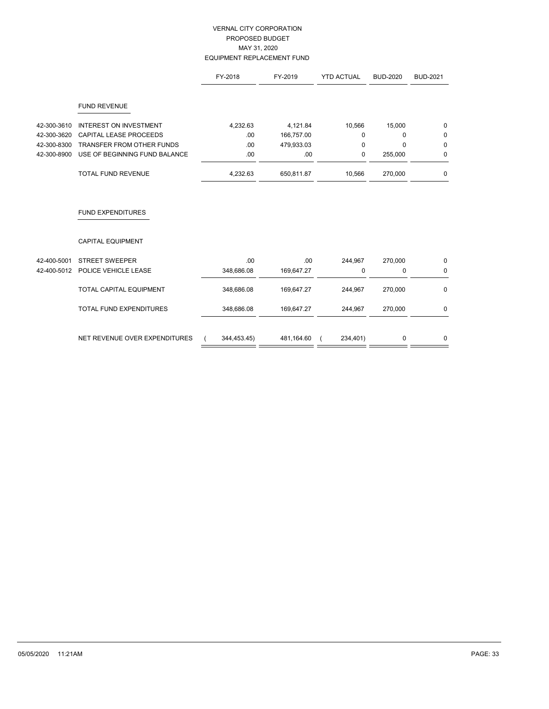## VERNAL CITY CORPORATION PROPOSED BUDGET MAY 31, 2020 EQUIPMENT REPLACEMENT FUND

|             |                                  | FY-2018    | FY-2019    | <b>YTD ACTUAL</b> | <b>BUD-2020</b> | <b>BUD-2021</b> |
|-------------|----------------------------------|------------|------------|-------------------|-----------------|-----------------|
|             | <b>FUND REVENUE</b>              |            |            |                   |                 |                 |
| 42-300-3610 | <b>INTEREST ON INVESTMENT</b>    | 4,232.63   | 4,121.84   | 10,566            | 15,000          | 0               |
| 42-300-3620 | CAPITAL LEASE PROCEEDS           | .00        | 166,757.00 | $\Omega$          | $\Omega$        | $\mathbf 0$     |
| 42-300-8300 | <b>TRANSFER FROM OTHER FUNDS</b> | .00        | 479,933.03 | $\mathbf 0$       | $\Omega$        | $\mathbf 0$     |
| 42-300-8900 | USE OF BEGINNING FUND BALANCE    | .00        | .00        | $\mathbf 0$       | 255,000         | 0               |
|             | <b>TOTAL FUND REVENUE</b>        | 4,232.63   | 650,811.87 | 10,566            | 270,000         | 0               |
|             | <b>FUND EXPENDITURES</b>         |            |            |                   |                 |                 |
|             | <b>CAPITAL EQUIPMENT</b>         |            |            |                   |                 |                 |
| 42-400-5001 | <b>STREET SWEEPER</b>            | .00        | .00        | 244,967           | 270,000         | 0               |
| 42-400-5012 | POLICE VEHICLE LEASE             | 348,686.08 | 169,647.27 | 0                 | 0               | 0               |
|             | TOTAL CAPITAL EQUIPMENT          | 348,686.08 | 169,647.27 | 244,967           | 270,000         | 0               |

TOTAL FUND EXPENDITURES 348,686.08 169,647.27 244,967 270,000 0

| NET REVENUE OVER EXPENDITURES | 344,453.45) | 481,164.60 | 234,401) |  |
|-------------------------------|-------------|------------|----------|--|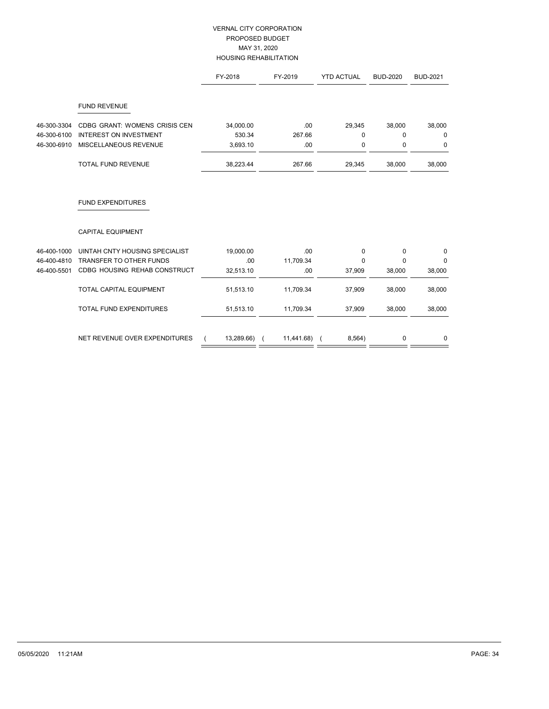# VERNAL CITY CORPORATION PROPOSED BUDGET MAY 31, 2020 HOUSING REHABILITATION

|             |                                | FY-2018    | FY-2019    | <b>YTD ACTUAL</b> | <b>BUD-2020</b> | <b>BUD-2021</b> |
|-------------|--------------------------------|------------|------------|-------------------|-----------------|-----------------|
|             | <b>FUND REVENUE</b>            |            |            |                   |                 |                 |
| 46-300-3304 | CDBG GRANT: WOMENS CRISIS CEN  | 34,000.00  | .00        | 29,345            | 38,000          | 38,000          |
| 46-300-6100 | <b>INTEREST ON INVESTMENT</b>  | 530.34     | 267.66     | $\Omega$          | $\Omega$        | 0               |
| 46-300-6910 | MISCELLANEOUS REVENUE          | 3,693.10   | .00        | 0                 | 0               | 0               |
|             | <b>TOTAL FUND REVENUE</b>      | 38,223.44  | 267.66     | 29,345            | 38,000          | 38,000          |
|             | <b>FUND EXPENDITURES</b>       |            |            |                   |                 |                 |
|             | <b>CAPITAL EQUIPMENT</b>       |            |            |                   |                 |                 |
| 46-400-1000 | UINTAH CNTY HOUSING SPECIALIST | 19,000.00  | .00        | $\mathbf 0$       | $\mathbf{0}$    | 0               |
| 46-400-4810 | <b>TRANSFER TO OTHER FUNDS</b> | .00        | 11,709.34  | $\Omega$          | $\Omega$        | 0               |
| 46-400-5501 | CDBG HOUSING REHAB CONSTRUCT   | 32,513.10  | .00        | 37,909            | 38,000          | 38,000          |
|             | TOTAL CAPITAL EQUIPMENT        | 51,513.10  | 11,709.34  | 37,909            | 38,000          | 38,000          |
|             | <b>TOTAL FUND EXPENDITURES</b> | 51,513.10  | 11,709.34  | 37,909            | 38,000          | 38,000          |
|             | NET REVENUE OVER EXPENDITURES  | 13,289.66) | 11,441.68) | 8,564)            | 0               | 0               |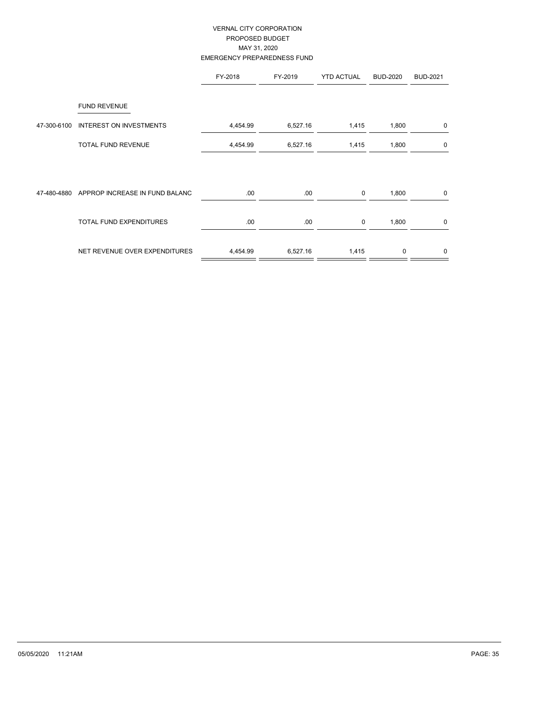## VERNAL CITY CORPORATION PROPOSED BUDGET MAY 31, 2020 EMERGENCY PREPAREDNESS FUND

|             |                                | FY-2018  | FY-2019  | <b>YTD ACTUAL</b> | <b>BUD-2020</b> | <b>BUD-2021</b> |
|-------------|--------------------------------|----------|----------|-------------------|-----------------|-----------------|
|             | <b>FUND REVENUE</b>            |          |          |                   |                 |                 |
| 47-300-6100 | <b>INTEREST ON INVESTMENTS</b> | 4,454.99 | 6,527.16 | 1,415             | 1,800           | 0               |
|             | <b>TOTAL FUND REVENUE</b>      | 4,454.99 | 6,527.16 | 1,415             | 1,800           | 0               |
| 47-480-4880 | APPROP INCREASE IN FUND BALANC | .00      | .00.     | 0                 | 1,800           | 0               |
|             | <b>TOTAL FUND EXPENDITURES</b> | .00      | .00.     | $\mathbf 0$       | 1,800           | 0               |
|             | NET REVENUE OVER EXPENDITURES  | 4,454.99 | 6,527.16 | 1,415             | $\mathbf 0$     | 0               |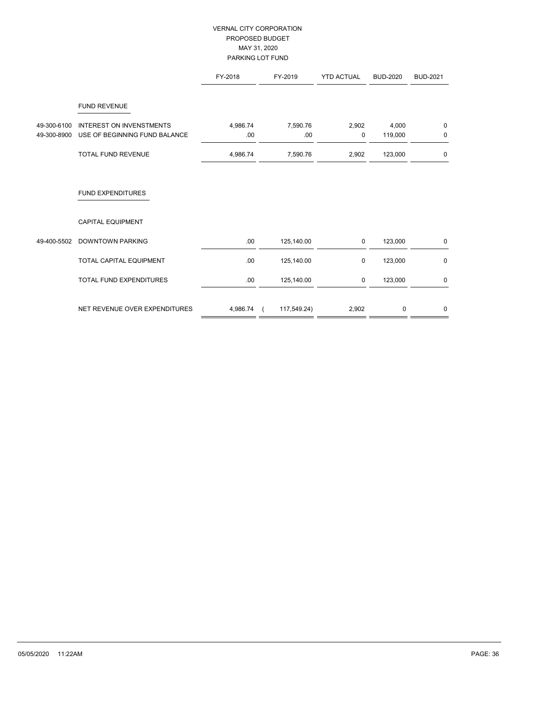## VERNAL CITY CORPORATION PROPOSED BUDGET MAY 31, 2020 PARKING LOT FUND

|             |                                                        | FY-2018  | FY-2019     | <b>YTD ACTUAL</b> | <b>BUD-2020</b> | <b>BUD-2021</b> |
|-------------|--------------------------------------------------------|----------|-------------|-------------------|-----------------|-----------------|
| 49-300-6100 | <b>FUND REVENUE</b><br><b>INTEREST ON INVENSTMENTS</b> | 4,986.74 | 7,590.76    | 2,902             | 4,000           | $\mathbf 0$     |
| 49-300-8900 | USE OF BEGINNING FUND BALANCE                          | .00      | .00         | $\mathbf 0$       | 119,000         | $\mathbf 0$     |
|             | <b>TOTAL FUND REVENUE</b>                              | 4,986.74 | 7,590.76    | 2,902             | 123,000         | 0               |
|             | <b>FUND EXPENDITURES</b>                               |          |             |                   |                 |                 |
|             | <b>CAPITAL EQUIPMENT</b>                               |          |             |                   |                 |                 |
| 49-400-5502 | <b>DOWNTOWN PARKING</b>                                | .00      | 125,140.00  | $\mathbf 0$       | 123,000         | $\mathbf 0$     |
|             | TOTAL CAPITAL EQUIPMENT                                | .00      | 125,140.00  | $\mathbf 0$       | 123,000         | $\mathbf 0$     |
|             | TOTAL FUND EXPENDITURES                                | .00      | 125,140.00  | $\mathbf 0$       | 123,000         | 0               |
|             | NET REVENUE OVER EXPENDITURES                          | 4,986.74 | 117,549.24) | 2,902             | $\mathbf 0$     | $\mathbf{0}$    |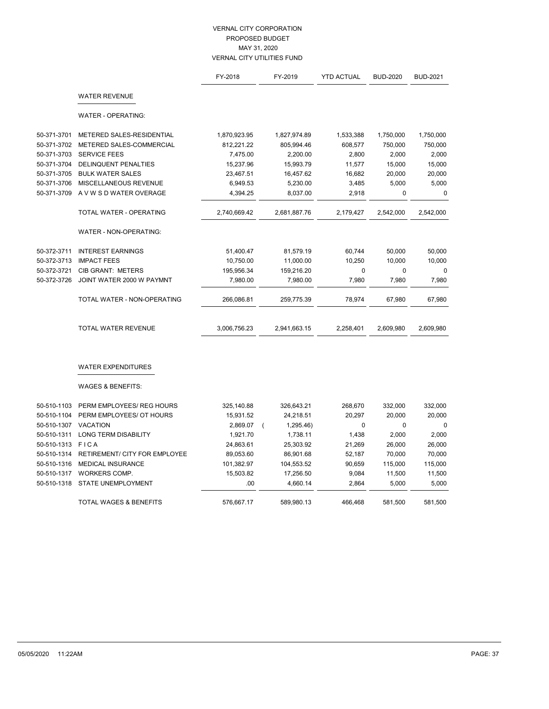|             |                                   | FY-2018      | FY-2019               | <b>YTD ACTUAL</b> | <b>BUD-2020</b> | <b>BUD-2021</b> |
|-------------|-----------------------------------|--------------|-----------------------|-------------------|-----------------|-----------------|
|             | <b>WATER REVENUE</b>              |              |                       |                   |                 |                 |
|             | WATER - OPERATING:                |              |                       |                   |                 |                 |
| 50-371-3701 | METERED SALES-RESIDENTIAL         | 1,870,923.95 | 1,827,974.89          | 1,533,388         | 1,750,000       | 1,750,000       |
| 50-371-3702 | METERED SALES-COMMERCIAL          | 812,221.22   | 805,994.46            | 608,577           | 750,000         | 750,000         |
| 50-371-3703 | <b>SERVICE FEES</b>               | 7,475.00     | 2,200.00              | 2,800             | 2,000           | 2,000           |
| 50-371-3704 | <b>DELINQUENT PENALTIES</b>       | 15,237.96    | 15,993.79             | 11,577            | 15,000          | 15,000          |
| 50-371-3705 | <b>BULK WATER SALES</b>           | 23,467.51    | 16,457.62             | 16,682            | 20,000          | 20,000          |
| 50-371-3706 | MISCELLANEOUS REVENUE             | 6,949.53     | 5,230.00              | 3,485             | 5,000           | 5,000           |
| 50-371-3709 | A V W S D WATER OVERAGE           | 4,394.25     | 8,037.00              | 2,918             | $\mathbf{0}$    | $\mathbf 0$     |
|             | TOTAL WATER - OPERATING           | 2,740,669.42 | 2,681,887.76          | 2,179,427         | 2,542,000       | 2,542,000       |
|             | WATER - NON-OPERATING:            |              |                       |                   |                 |                 |
| 50-372-3711 | <b>INTEREST EARNINGS</b>          | 51,400.47    | 81,579.19             | 60,744            | 50,000          | 50,000          |
| 50-372-3713 | <b>IMPACT FEES</b>                | 10,750.00    | 11,000.00             | 10,250            | 10,000          | 10,000          |
| 50-372-3721 | <b>CIB GRANT: METERS</b>          | 195,956.34   | 159,216.20            | $\mathbf 0$       | $\mathbf{0}$    | $\mathbf 0$     |
| 50-372-3726 | JOINT WATER 2000 W PAYMNT         | 7,980.00     | 7,980.00              | 7,980             | 7,980           | 7,980           |
|             | TOTAL WATER - NON-OPERATING       | 266,086.81   | 259,775.39            | 78,974            | 67,980          | 67,980          |
|             | <b>TOTAL WATER REVENUE</b>        | 3,006,756.23 | 2,941,663.15          | 2,258,401         | 2,609,980       | 2,609,980       |
|             | <b>WATER EXPENDITURES</b>         |              |                       |                   |                 |                 |
|             | <b>WAGES &amp; BENEFITS:</b>      |              |                       |                   |                 |                 |
| 50-510-1103 | PERM EMPLOYEES/ REG HOURS         | 325,140.88   | 326,643.21            | 268,670           | 332,000         | 332,000         |
| 50-510-1104 | PERM EMPLOYEES/ OT HOURS          | 15,931.52    | 24,218.51             | 20,297            | 20,000          | 20,000          |
| 50-510-1307 | <b>VACATION</b>                   | 2,869.07     | 1,295.46)<br>$\left($ | 0                 | $\mathbf 0$     | 0               |
| 50-510-1311 | <b>LONG TERM DISABILITY</b>       | 1,921.70     | 1,738.11              | 1,438             | 2,000           | 2,000           |
| 50-510-1313 | FICA                              | 24,863.61    | 25,303.92             | 21,269            | 26,000          | 26,000          |
| 50-510-1314 | RETIREMENT/ CITY FOR EMPLOYEE     | 89,053.60    | 86,901.68             | 52,187            | 70,000          | 70,000          |
| 50-510-1316 | <b>MEDICAL INSURANCE</b>          | 101,382.97   | 104,553.52            | 90,659            | 115,000         | 115,000         |
| 50-510-1317 | WORKERS COMP.                     | 15,503.82    | 17,256.50             | 9,084             | 11,500          | 11,500          |
| 50-510-1318 | STATE UNEMPLOYMENT                | .00          | 4,660.14              | 2,864             | 5,000           | 5,000           |
|             | <b>TOTAL WAGES &amp; BENEFITS</b> | 576,667.17   | 589,980.13            | 466,468           | 581,500         | 581,500         |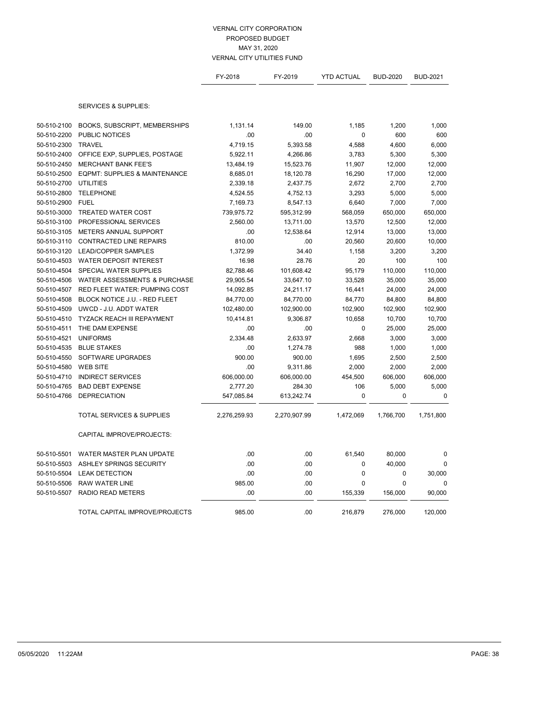|             |                                          | FY-2018      | FY-2019      | <b>YTD ACTUAL</b>    | <b>BUD-2020</b> | <b>BUD-2021</b> |
|-------------|------------------------------------------|--------------|--------------|----------------------|-----------------|-----------------|
|             | <b>SERVICES &amp; SUPPLIES:</b>          |              |              |                      |                 |                 |
|             |                                          |              |              |                      |                 |                 |
| 50-510-2100 | BOOKS, SUBSCRIPT, MEMBERSHIPS            | 1,131.14     | 149.00       | 1,185<br>$\mathbf 0$ | 1,200           | 1,000           |
| 50-510-2200 | PUBLIC NOTICES<br><b>TRAVEL</b>          | .00          | .00          |                      | 600             | 600             |
| 50-510-2300 |                                          | 4,719.15     | 5,393.58     | 4,588                | 4,600           | 6,000           |
| 50-510-2400 | OFFICE EXP, SUPPLIES, POSTAGE            | 5,922.11     | 4,266.86     | 3,783                | 5,300           | 5,300           |
| 50-510-2450 | <b>MERCHANT BANK FEE'S</b>               | 13,484.19    | 15,523.76    | 11,907               | 12,000          | 12,000          |
| 50-510-2500 | <b>EQPMT: SUPPLIES &amp; MAINTENANCE</b> | 8,685.01     | 18,120.78    | 16,290               | 17,000          | 12,000          |
| 50-510-2700 | <b>UTILITIES</b>                         | 2,339.18     | 2,437.75     | 2,672                | 2,700           | 2,700           |
| 50-510-2800 | <b>TELEPHONE</b>                         | 4,524.55     | 4,752.13     | 3,293                | 5,000           | 5,000           |
| 50-510-2900 | <b>FUEL</b>                              | 7,169.73     | 8,547.13     | 6,640                | 7,000           | 7,000           |
| 50-510-3000 | <b>TREATED WATER COST</b>                | 739,975.72   | 595,312.99   | 568,059              | 650,000         | 650,000         |
| 50-510-3100 | PROFESSIONAL SERVICES                    | 2,560.00     | 13,711.00    | 13,570               | 12,500          | 12,000          |
| 50-510-3105 | METERS ANNUAL SUPPORT                    | .00          | 12,538.64    | 12,914               | 13,000          | 13,000          |
| 50-510-3110 | <b>CONTRACTED LINE REPAIRS</b>           | 810.00       | .00          | 20,560               | 20,600          | 10,000          |
| 50-510-3120 | <b>LEAD/COPPER SAMPLES</b>               | 1,372.99     | 34.40        | 1,158                | 3,200           | 3,200           |
| 50-510-4503 | <b>WATER DEPOSIT INTEREST</b>            | 16.98        | 28.76        | 20                   | 100             | 100             |
| 50-510-4504 | SPECIAL WATER SUPPLIES                   | 82,788.46    | 101,608.42   | 95,179               | 110,000         | 110,000         |
| 50-510-4506 | <b>WATER ASSESSMENTS &amp; PURCHASE</b>  | 29,905.54    | 33,647.10    | 33,528               | 35,000          | 35,000          |
| 50-510-4507 | RED FLEET WATER: PUMPING COST            | 14,092.85    | 24,211.17    | 16,441               | 24,000          | 24,000          |
| 50-510-4508 | BLOCK NOTICE J.U. - RED FLEET            | 84,770.00    | 84,770.00    | 84,770               | 84,800          | 84,800          |
| 50-510-4509 | UWCD - J.U. ADDT WATER                   | 102,480.00   | 102,900.00   | 102,900              | 102,900         | 102,900         |
| 50-510-4510 | TYZACK REACH III REPAYMENT               | 10,414.81    | 9,306.87     | 10,658               | 10,700          | 10,700          |
| 50-510-4511 | THE DAM EXPENSE                          | .00          | .00          | 0                    | 25,000          | 25,000          |
| 50-510-4521 | <b>UNIFORMS</b>                          | 2,334.48     | 2,633.97     | 2,668                | 3,000           | 3,000           |
| 50-510-4535 | <b>BLUE STAKES</b>                       | .00          | 1,274.78     | 988                  | 1,000           | 1,000           |
| 50-510-4550 | SOFTWARE UPGRADES                        | 900.00       | 900.00       | 1,695                | 2,500           | 2,500           |
| 50-510-4580 | <b>WEB SITE</b>                          | .00          | 9,311.86     | 2,000                | 2,000           | 2,000           |
| 50-510-4710 | <b>INDIRECT SERVICES</b>                 | 606,000.00   | 606,000.00   | 454,500              | 606,000         | 606,000         |
| 50-510-4765 | <b>BAD DEBT EXPENSE</b>                  | 2,777.20     | 284.30       | 106                  | 5,000           | 5,000           |
| 50-510-4766 | <b>DEPRECIATION</b>                      | 547,085.84   | 613,242.74   | $\mathbf 0$          | $\mathbf 0$     | 0               |
|             | <b>TOTAL SERVICES &amp; SUPPLIES</b>     | 2,276,259.93 | 2,270,907.99 | 1,472,069            | 1,766,700       | 1,751,800       |
|             | CAPITAL IMPROVE/PROJECTS:                |              |              |                      |                 |                 |
| 50-510-5501 | WATER MASTER PLAN UPDATE                 | .00          | .00          | 61,540               | 80,000          | 0               |
| 50-510-5503 | ASHLEY SPRINGS SECURITY                  | .00          | .00          | 0                    | 40,000          | 0               |
| 50-510-5504 | <b>LEAK DETECTION</b>                    | .00          | .00          | $\mathbf 0$          | $\mathbf 0$     | 30,000          |
| 50-510-5506 | <b>RAW WATER LINE</b>                    | 985.00       | .00          | 0                    | 0               | 0               |
| 50-510-5507 | <b>RADIO READ METERS</b>                 | .00          | .00          | 155,339              | 156,000         | 90,000          |
|             | TOTAL CAPITAL IMPROVE/PROJECTS           | 985.00       | .00          | 216,879              | 276,000         | 120,000         |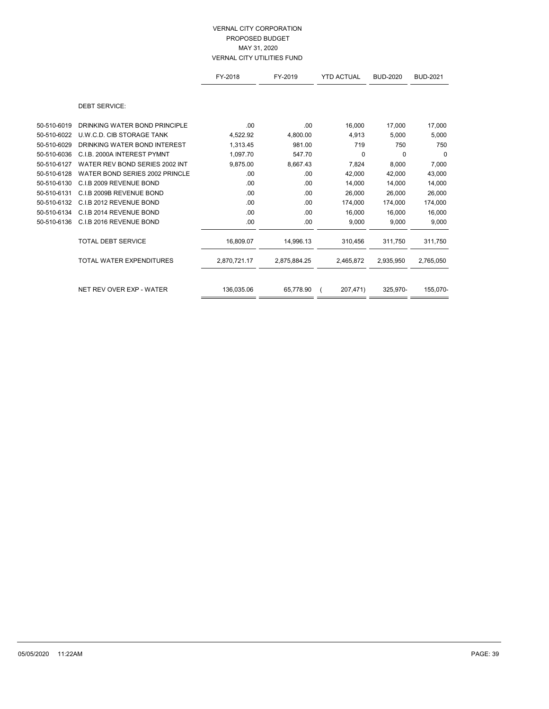|             |                                | FY-2018      | FY-2019      | <b>YTD ACTUAL</b> | <b>BUD-2020</b> | <b>BUD-2021</b> |
|-------------|--------------------------------|--------------|--------------|-------------------|-----------------|-----------------|
|             | <b>DEBT SERVICE:</b>           |              |              |                   |                 |                 |
| 50-510-6019 | DRINKING WATER BOND PRINCIPLE  | .00          | .00          | 16,000            | 17,000          | 17,000          |
| 50-510-6022 | U.W.C.D. CIB STORAGE TANK      | 4,522.92     | 4,800.00     | 4,913             | 5,000           | 5,000           |
| 50-510-6029 | DRINKING WATER BOND INTEREST   | 1,313.45     | 981.00       | 719               | 750             | 750             |
| 50-510-6036 | C.I.B. 2000A INTEREST PYMNT    | 1,097.70     | 547.70       | 0                 | $\Omega$        | 0               |
| 50-510-6127 | WATER REV BOND SERIES 2002 INT | 9,875.00     | 8,667.43     | 7,824             | 8,000           | 7,000           |
| 50-510-6128 | WATER BOND SERIES 2002 PRINCLE | .00          | .00          | 42,000            | 42,000          | 43,000          |
| 50-510-6130 | C.I.B 2009 REVENUE BOND        | .00          | .00          | 14,000            | 14,000          | 14,000          |
| 50-510-6131 | C.I.B 2009B REVENUE BOND       | .00          | .00          | 26,000            | 26,000          | 26,000          |
| 50-510-6132 | C.I.B 2012 REVENUE BOND        | .00          | .00          | 174,000           | 174,000         | 174,000         |
| 50-510-6134 | C.I.B 2014 REVENUE BOND        | .00          | .00          | 16,000            | 16,000          | 16,000          |
| 50-510-6136 | C.I.B 2016 REVENUE BOND        | .00          | .00          | 9,000             | 9,000           | 9,000           |
|             | <b>TOTAL DEBT SERVICE</b>      | 16,809.07    | 14,996.13    | 310,456           | 311,750         | 311,750         |
|             | TOTAL WATER EXPENDITURES       | 2,870,721.17 | 2,875,884.25 | 2,465,872         | 2,935,950       | 2,765,050       |
|             |                                |              |              |                   |                 |                 |
|             | NET REV OVER EXP - WATER       | 136,035.06   | 65,778.90    | 207,471)          | 325,970-        | 155,070-        |
|             |                                |              |              |                   |                 |                 |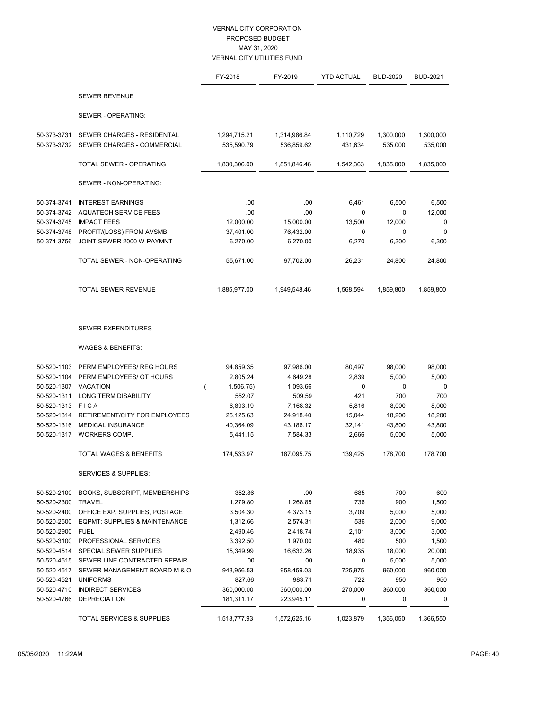|             |                                                           | FY-2018      | FY-2019      | <b>YTD ACTUAL</b> | <b>BUD-2020</b> | <b>BUD-2021</b> |
|-------------|-----------------------------------------------------------|--------------|--------------|-------------------|-----------------|-----------------|
|             | <b>SEWER REVENUE</b>                                      |              |              |                   |                 |                 |
|             | SEWER - OPERATING:                                        |              |              |                   |                 |                 |
| 50-373-3731 | SEWER CHARGES - RESIDENTAL                                | 1,294,715.21 | 1,314,986.84 | 1,110,729         | 1,300,000       | 1,300,000       |
| 50-373-3732 | SEWER CHARGES - COMMERCIAL                                | 535,590.79   | 536,859.62   | 431,634           | 535,000         | 535,000         |
|             | TOTAL SEWER - OPERATING                                   | 1,830,306.00 | 1,851,846.46 | 1,542,363         | 1,835,000       | 1,835,000       |
|             | SEWER - NON-OPERATING:                                    |              |              |                   |                 |                 |
| 50-374-3741 | <b>INTEREST EARNINGS</b>                                  | .00          | .00          | 6,461             | 6,500           | 6,500           |
| 50-374-3742 | <b>AQUATECH SERVICE FEES</b>                              | .00          | .00          | $\mathbf 0$       | $\mathbf 0$     | 12,000          |
| 50-374-3745 | <b>IMPACT FEES</b>                                        | 12,000.00    | 15,000.00    | 13,500            | 12,000          | 0               |
| 50-374-3748 | PROFIT/(LOSS) FROM AVSMB                                  | 37,401.00    | 76,432.00    | 0                 | $\mathbf 0$     | 0               |
| 50-374-3756 | JOINT SEWER 2000 W PAYMNT                                 | 6,270.00     | 6,270.00     | 6,270             | 6,300           | 6,300           |
|             | TOTAL SEWER - NON-OPERATING                               | 55,671.00    | 97,702.00    | 26,231            | 24,800          | 24,800          |
|             | TOTAL SEWER REVENUE                                       | 1,885,977.00 | 1,949,548.46 | 1,568,594         | 1,859,800       | 1,859,800       |
|             | <b>SEWER EXPENDITURES</b><br><b>WAGES &amp; BENEFITS:</b> |              |              |                   |                 |                 |
|             |                                                           |              |              |                   |                 |                 |
| 50-520-1103 | PERM EMPLOYEES/ REG HOURS                                 | 94,859.35    | 97,986.00    | 80,497            | 98,000          | 98,000          |
| 50-520-1104 | PERM EMPLOYEES/ OT HOURS                                  | 2,805.24     | 4,649.28     | 2,839             | 5,000           | 5,000           |
| 50-520-1307 | <b>VACATION</b>                                           | 1,506.75)    | 1,093.66     | 0                 | $\mathbf 0$     | 0               |
| 50-520-1311 | <b>LONG TERM DISABILITY</b>                               | 552.07       | 509.59       | 421               | 700             | 700             |
| 50-520-1313 | <b>FICA</b>                                               | 6,893.19     | 7,168.32     | 5,816             | 8,000           | 8,000           |
| 50-520-1314 | RETIREMENT/CITY FOR EMPLOYEES                             | 25,125.63    | 24,918.40    | 15,044            | 18,200          | 18,200          |
| 50-520-1316 | <b>MEDICAL INSURANCE</b>                                  | 40,364.09    | 43,186.17    | 32,141            | 43,800          | 43,800          |
| 50-520-1317 | WORKERS COMP.                                             | 5,441.15     | 7,584.33     | 2,666             | 5,000           | 5,000           |
|             | <b>TOTAL WAGES &amp; BENEFITS</b>                         | 174,533.97   | 187,095.75   | 139,425           | 178,700         | 178,700         |
|             | <b>SERVICES &amp; SUPPLIES:</b>                           |              |              |                   |                 |                 |
| 50-520-2100 | BOOKS, SUBSCRIPT, MEMBERSHIPS                             | 352.86       | .00          | 685               | 700             | 600             |
| 50-520-2300 | <b>TRAVEL</b>                                             | 1,279.80     | 1,268.85     | 736               | 900             | 1,500           |
| 50-520-2400 | OFFICE EXP, SUPPLIES, POSTAGE                             | 3,504.30     | 4,373.15     | 3,709             | 5,000           | 5,000           |
| 50-520-2500 | EQPMT: SUPPLIES & MAINTENANCE                             | 1,312.66     | 2,574.31     | 536               | 2,000           | 9,000           |
| 50-520-2900 | <b>FUEL</b>                                               | 2,490.46     | 2,418.74     | 2,101             | 3,000           | 3,000           |
| 50-520-3100 | PROFESSIONAL SERVICES                                     | 3,392.50     | 1,970.00     | 480               | 500             | 1,500           |
| 50-520-4514 | <b>SPECIAL SEWER SUPPLIES</b>                             | 15,349.99    | 16,632.26    | 18,935            | 18,000          | 20,000          |
| 50-520-4515 | SEWER LINE CONTRACTED REPAIR                              | .00          | .00          | 0                 | 5,000           | 5,000           |
| 50-520-4517 | SEWER MANAGEMENT BOARD M & O                              | 943,956.53   | 958,459.03   | 725,975           | 960,000         | 960,000         |
| 50-520-4521 | <b>UNIFORMS</b>                                           | 827.66       | 983.71       | 722               | 950             | 950             |
| 50-520-4710 | <b>INDIRECT SERVICES</b>                                  | 360,000.00   | 360,000.00   | 270,000           | 360,000         | 360,000         |
| 50-520-4766 | <b>DEPRECIATION</b>                                       | 181,311.17   | 223,945.11   | 0                 | 0               | 0               |
|             | TOTAL SERVICES & SUPPLIES                                 | 1,513,777.93 | 1,572,625.16 | 1,023,879         | 1,356,050       | 1,366,550       |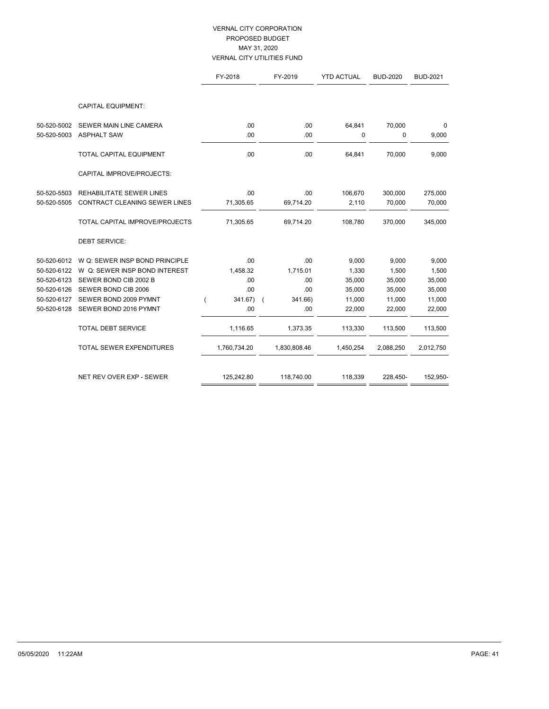|             |                                      | FY-2018      | FY-2019      | <b>YTD ACTUAL</b> | <b>BUD-2020</b> | <b>BUD-2021</b> |
|-------------|--------------------------------------|--------------|--------------|-------------------|-----------------|-----------------|
|             |                                      |              |              |                   |                 |                 |
|             | <b>CAPITAL EQUIPMENT:</b>            |              |              |                   |                 |                 |
| 50-520-5002 | SEWER MAIN LINE CAMERA               | .00          | .00          | 64,841            | 70,000          | 0               |
| 50-520-5003 | <b>ASPHALT SAW</b>                   | .00          | .00          | 0                 | 0               | 9,000           |
|             | <b>TOTAL CAPITAL EQUIPMENT</b>       | .00          | .00          | 64,841            | 70.000          | 9,000           |
|             | CAPITAL IMPROVE/PROJECTS:            |              |              |                   |                 |                 |
| 50-520-5503 | <b>REHABILITATE SEWER LINES</b>      | .00          | .00          | 106.670           | 300,000         | 275,000         |
| 50-520-5505 | <b>CONTRACT CLEANING SEWER LINES</b> | 71,305.65    | 69,714.20    | 2,110             | 70,000          | 70,000          |
|             | TOTAL CAPITAL IMPROVE/PROJECTS       | 71,305.65    | 69,714.20    | 108,780           | 370,000         | 345,000         |
|             | <b>DEBT SERVICE:</b>                 |              |              |                   |                 |                 |
| 50-520-6012 | W Q: SEWER INSP BOND PRINCIPLE       | .00          | .00          | 9,000             | 9,000           | 9,000           |
| 50-520-6122 | W Q: SEWER INSP BOND INTEREST        | 1,458.32     | 1,715.01     | 1,330             | 1,500           | 1,500           |
| 50-520-6123 | SEWER BOND CIB 2002 B                | .00          | .00          | 35,000            | 35,000          | 35,000          |
| 50-520-6126 | SEWER BOND CIB 2006                  | .00          | .00          | 35,000            | 35,000          | 35,000          |
| 50-520-6127 | SEWER BOND 2009 PYMNT                | 341.67)      | 341.66)      | 11,000            | 11,000          | 11,000          |
| 50-520-6128 | SEWER BOND 2016 PYMNT                | .00          | .00          | 22,000            | 22,000          | 22,000          |
|             | <b>TOTAL DEBT SERVICE</b>            | 1,116.65     | 1,373.35     | 113,330           | 113,500         | 113,500         |
|             | TOTAL SEWER EXPENDITURES             | 1,760,734.20 | 1,830,808.46 | 1,450,254         | 2,088,250       | 2,012,750       |
|             | NET REV OVER EXP - SEWER             |              |              |                   |                 |                 |
|             |                                      | 125,242.80   | 118,740.00   | 118,339           | 228,450-        | 152,950-        |